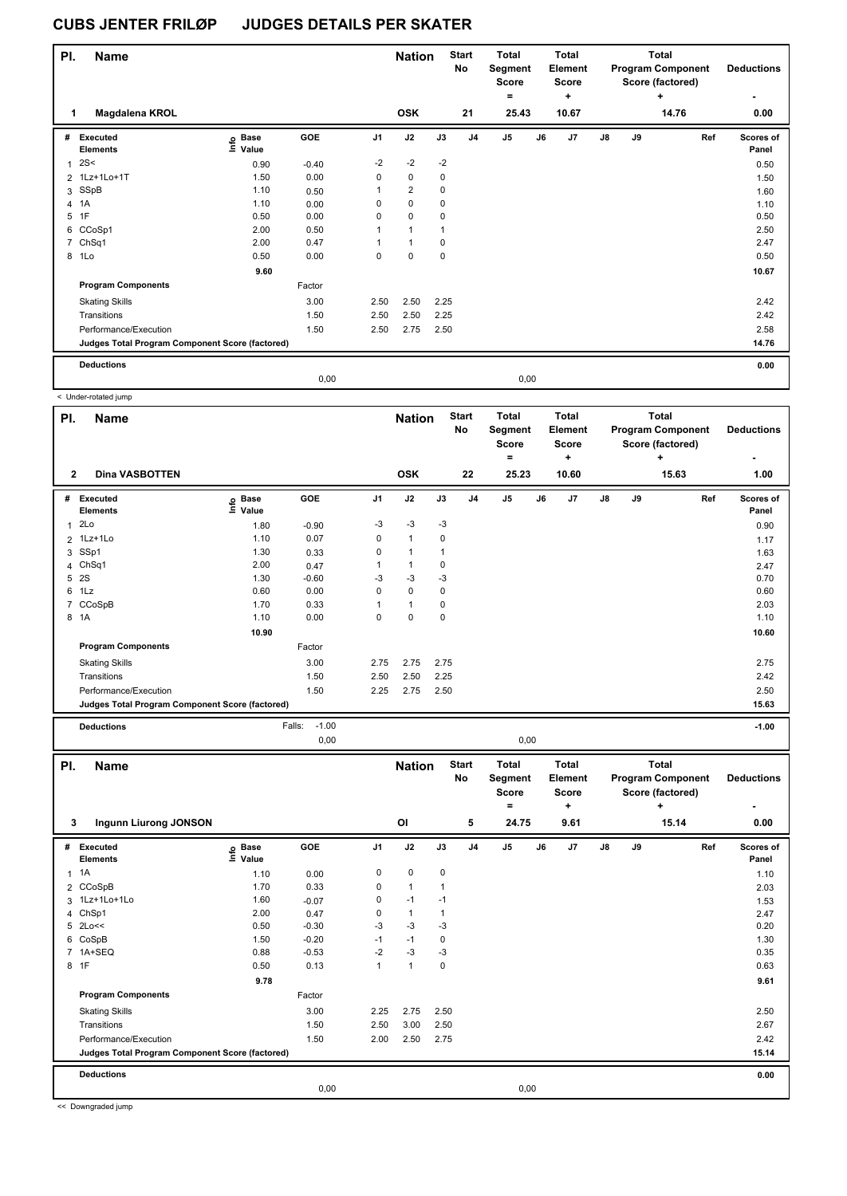| PI. | <b>Name</b>                                     |                   |            |                | <b>Nation</b>  |             | <b>Start</b><br>No | <b>Total</b><br>Segment<br><b>Score</b><br>۰ |      | <b>Total</b><br>Element<br><b>Score</b><br>٠ |               |    | Total<br><b>Program Component</b><br>Score (factored)<br>٠ | <b>Deductions</b><br>۰ |
|-----|-------------------------------------------------|-------------------|------------|----------------|----------------|-------------|--------------------|----------------------------------------------|------|----------------------------------------------|---------------|----|------------------------------------------------------------|------------------------|
|     | Magdalena KROL                                  |                   |            |                | <b>OSK</b>     |             | 21                 | 25.43                                        |      | 10.67                                        |               |    | 14.76                                                      | 0.00                   |
| #   | Executed<br><b>Elements</b>                     | e Base<br>⊆ Value | <b>GOE</b> | J <sub>1</sub> | J2             | J3          | J <sub>4</sub>     | J5                                           | J6   | J <sub>7</sub>                               | $\mathsf{J}8$ | J9 | Ref                                                        | Scores of<br>Panel     |
| 1   | 2S<                                             | 0.90              | $-0.40$    | $-2$           | $-2$           | $-2$        |                    |                                              |      |                                              |               |    |                                                            | 0.50                   |
|     | 2 1Lz+1Lo+1T                                    | 1.50              | 0.00       | $\mathbf 0$    | $\mathbf 0$    | 0           |                    |                                              |      |                                              |               |    |                                                            | 1.50                   |
|     | 3 SSpB                                          | 1.10              | 0.50       | $\mathbf{1}$   | $\overline{2}$ | 0           |                    |                                              |      |                                              |               |    |                                                            | 1.60                   |
| 4   | 1A                                              | 1.10              | 0.00       | 0              | $\pmb{0}$      | $\mathbf 0$ |                    |                                              |      |                                              |               |    |                                                            | 1.10                   |
| 5   | 1F                                              | 0.50              | 0.00       | 0              | $\mathbf 0$    | $\mathbf 0$ |                    |                                              |      |                                              |               |    |                                                            | 0.50                   |
|     | 6 CCoSp1                                        | 2.00              | 0.50       | $\mathbf{1}$   | $\mathbf{1}$   | 1           |                    |                                              |      |                                              |               |    |                                                            | 2.50                   |
|     | 7 ChSq1                                         | 2.00              | 0.47       | 1              | $\mathbf{1}$   | $\mathbf 0$ |                    |                                              |      |                                              |               |    |                                                            | 2.47                   |
|     | 8 1Lo                                           | 0.50              | 0.00       | 0              | $\mathbf 0$    | $\mathbf 0$ |                    |                                              |      |                                              |               |    |                                                            | 0.50                   |
|     |                                                 | 9.60              |            |                |                |             |                    |                                              |      |                                              |               |    |                                                            | 10.67                  |
|     | <b>Program Components</b>                       |                   | Factor     |                |                |             |                    |                                              |      |                                              |               |    |                                                            |                        |
|     | <b>Skating Skills</b>                           |                   | 3.00       | 2.50           | 2.50           | 2.25        |                    |                                              |      |                                              |               |    |                                                            | 2.42                   |
|     | Transitions                                     |                   | 1.50       | 2.50           | 2.50           | 2.25        |                    |                                              |      |                                              |               |    |                                                            | 2.42                   |
|     | Performance/Execution                           |                   | 1.50       | 2.50           | 2.75           | 2.50        |                    |                                              |      |                                              |               |    |                                                            | 2.58                   |
|     | Judges Total Program Component Score (factored) |                   |            |                |                |             |                    |                                              |      |                                              |               |    |                                                            | 14.76                  |
|     | <b>Deductions</b>                               |                   |            |                |                |             |                    |                                              |      |                                              |               |    |                                                            | 0.00                   |
|     |                                                 |                   | 0.00       |                |                |             |                    |                                              | 0,00 |                                              |               |    |                                                            |                        |

|     | < Under-rotated jump                            |                              |                   |                |               |      |                    |                                       |    |                                              |               |    |                                                                   |     |                    |
|-----|-------------------------------------------------|------------------------------|-------------------|----------------|---------------|------|--------------------|---------------------------------------|----|----------------------------------------------|---------------|----|-------------------------------------------------------------------|-----|--------------------|
| PI. | <b>Name</b>                                     |                              |                   |                | <b>Nation</b> |      | <b>Start</b><br>No | Total<br>Segment<br><b>Score</b><br>= |    | <b>Total</b><br>Element<br><b>Score</b><br>٠ |               |    | <b>Total</b><br><b>Program Component</b><br>Score (factored)<br>٠ |     | <b>Deductions</b>  |
|     | <b>Dina VASBOTTEN</b><br>$\mathbf{2}$           |                              |                   |                | <b>OSK</b>    |      | 22                 | 25.23                                 |    | 10.60                                        |               |    | 15.63                                                             |     | 1.00               |
| #   | Executed<br><b>Elements</b>                     | <b>Base</b><br>١nfo<br>Value | GOE               | J <sub>1</sub> | J2            | J3   | J <sub>4</sub>     | J <sub>5</sub>                        | J6 | J7                                           | $\mathsf{J}8$ | J9 |                                                                   | Ref | Scores of<br>Panel |
| 1   | 2Lo                                             | 1.80                         | $-0.90$           | $-3$           | $-3$          | $-3$ |                    |                                       |    |                                              |               |    |                                                                   |     | 0.90               |
|     | 2 1Lz+1Lo                                       | 1.10                         | 0.07              | 0              | $\mathbf{1}$  | 0    |                    |                                       |    |                                              |               |    |                                                                   |     | 1.17               |
|     | 3 SSp1                                          | 1.30                         | 0.33              | 0              | $\mathbf{1}$  | 1    |                    |                                       |    |                                              |               |    |                                                                   |     | 1.63               |
|     | 4 ChSq1                                         | 2.00                         | 0.47              |                | $\mathbf{1}$  | 0    |                    |                                       |    |                                              |               |    |                                                                   |     | 2.47               |
| 5   | 2S                                              | 1.30                         | $-0.60$           | $-3$           | $-3$          | $-3$ |                    |                                       |    |                                              |               |    |                                                                   |     | 0.70               |
|     | $6$ 1Lz                                         | 0.60                         | 0.00              | 0              | $\mathbf 0$   | 0    |                    |                                       |    |                                              |               |    |                                                                   |     | 0.60               |
|     | 7 CCoSpB                                        | 1.70                         | 0.33              |                | $\mathbf{1}$  | 0    |                    |                                       |    |                                              |               |    |                                                                   |     | 2.03               |
| 8   | 1A                                              | 1.10                         | 0.00              | 0              | 0             | 0    |                    |                                       |    |                                              |               |    |                                                                   |     | 1.10               |
|     |                                                 | 10.90                        |                   |                |               |      |                    |                                       |    |                                              |               |    |                                                                   |     | 10.60              |
|     | <b>Program Components</b>                       |                              | Factor            |                |               |      |                    |                                       |    |                                              |               |    |                                                                   |     |                    |
|     | <b>Skating Skills</b>                           |                              | 3.00              | 2.75           | 2.75          | 2.75 |                    |                                       |    |                                              |               |    |                                                                   |     | 2.75               |
|     | Transitions                                     |                              | 1.50              | 2.50           | 2.50          | 2.25 |                    |                                       |    |                                              |               |    |                                                                   |     | 2.42               |
|     | Performance/Execution                           |                              | 1.50              | 2.25           | 2.75          | 2.50 |                    |                                       |    |                                              |               |    |                                                                   |     | 2.50               |
|     | Judges Total Program Component Score (factored) |                              |                   |                |               |      |                    |                                       |    |                                              |               |    |                                                                   |     | 15.63              |
|     | <b>Deductions</b>                               |                              | Falls:<br>$-1.00$ |                |               |      |                    |                                       |    |                                              |               |    |                                                                   |     | $-1.00$            |

|          |                                                 |                   | 0,00       |                |                     |              |                         |                                                       | 0,00 |                                                      |               |    |                                                                            |                           |
|----------|-------------------------------------------------|-------------------|------------|----------------|---------------------|--------------|-------------------------|-------------------------------------------------------|------|------------------------------------------------------|---------------|----|----------------------------------------------------------------------------|---------------------------|
| PI.<br>3 | <b>Name</b><br><b>Ingunn Liurong JONSON</b>     |                   |            |                | <b>Nation</b><br>OI |              | <b>Start</b><br>No<br>5 | <b>Total</b><br>Segment<br><b>Score</b><br>۰<br>24.75 |      | <b>Total</b><br>Element<br><b>Score</b><br>÷<br>9.61 |               |    | <b>Total</b><br><b>Program Component</b><br>Score (factored)<br>÷<br>15.14 | <b>Deductions</b><br>0.00 |
| #        | Executed<br><b>Elements</b>                     | e Base<br>⊑ Value | <b>GOE</b> | J <sub>1</sub> | J2                  | J3           | J <sub>4</sub>          | J <sub>5</sub>                                        | J6   | J7                                                   | $\mathsf{J}8$ | J9 | Ref                                                                        | Scores of<br>Panel        |
|          | $1 \t1A$                                        | 1.10              | 0.00       | 0              | $\mathbf 0$         | $\mathbf 0$  |                         |                                                       |      |                                                      |               |    |                                                                            | 1.10                      |
|          | 2 CCoSpB                                        | 1.70              | 0.33       | 0              | $\mathbf{1}$        |              |                         |                                                       |      |                                                      |               |    |                                                                            | 2.03                      |
|          | 3 1Lz+1Lo+1Lo                                   | 1.60              | $-0.07$    | 0              | $-1$                | $-1$         |                         |                                                       |      |                                                      |               |    |                                                                            | 1.53                      |
| 4        | ChSp1                                           | 2.00              | 0.47       | 0              | $\mathbf{1}$        | $\mathbf{1}$ |                         |                                                       |      |                                                      |               |    |                                                                            | 2.47                      |
|          | 5 2Lo<<                                         | 0.50              | $-0.30$    | $-3$           | $-3$                | -3           |                         |                                                       |      |                                                      |               |    |                                                                            | 0.20                      |
|          | 6 CoSpB                                         | 1.50              | $-0.20$    | $-1$           | $-1$                | 0            |                         |                                                       |      |                                                      |               |    |                                                                            | 1.30                      |
|          | 7 1A+SEQ                                        | 0.88              | $-0.53$    | $-2$           | $-3$                | $-3$         |                         |                                                       |      |                                                      |               |    |                                                                            | 0.35                      |
|          | 8 1F                                            | 0.50              | 0.13       | 1              | 1                   | $\mathbf 0$  |                         |                                                       |      |                                                      |               |    |                                                                            | 0.63                      |
|          |                                                 | 9.78              |            |                |                     |              |                         |                                                       |      |                                                      |               |    |                                                                            | 9.61                      |
|          | <b>Program Components</b>                       |                   | Factor     |                |                     |              |                         |                                                       |      |                                                      |               |    |                                                                            |                           |
|          | <b>Skating Skills</b>                           |                   | 3.00       | 2.25           | 2.75                | 2.50         |                         |                                                       |      |                                                      |               |    |                                                                            | 2.50                      |
|          | Transitions                                     |                   | 1.50       | 2.50           | 3.00                | 2.50         |                         |                                                       |      |                                                      |               |    |                                                                            | 2.67                      |
|          | Performance/Execution                           |                   | 1.50       | 2.00           | 2.50                | 2.75         |                         |                                                       |      |                                                      |               |    |                                                                            | 2.42                      |
|          | Judges Total Program Component Score (factored) |                   |            |                |                     |              |                         |                                                       |      |                                                      |               |    |                                                                            | 15.14                     |
|          | <b>Deductions</b>                               |                   |            |                |                     |              |                         |                                                       |      |                                                      |               |    |                                                                            | 0.00                      |
|          |                                                 |                   | 0,00       |                |                     |              |                         |                                                       | 0,00 |                                                      |               |    |                                                                            |                           |

<< Downgraded jump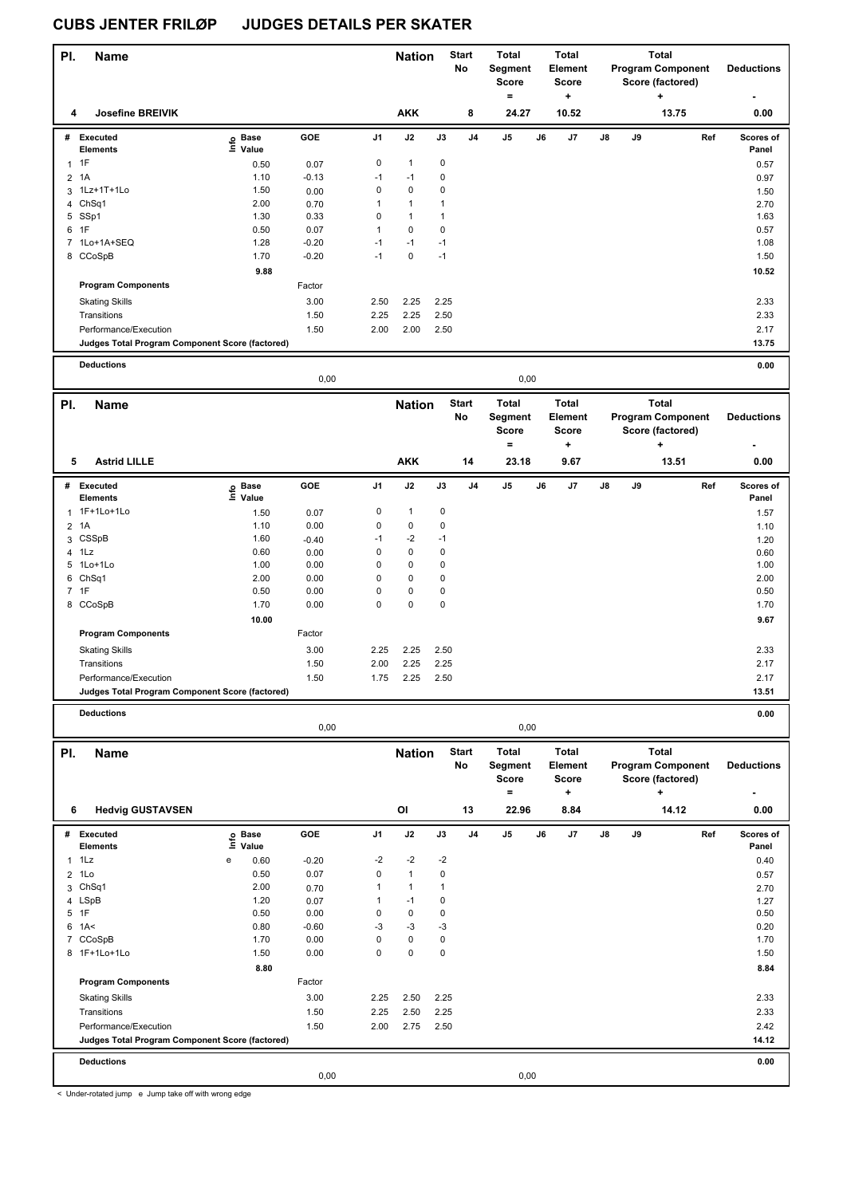| PI.                     | Name                                            |                                          |              |              | <b>Nation</b>                |                             | <b>Start</b><br>No | <b>Total</b><br>Segment<br>Score<br>$=$ |    | Total<br>Element<br>Score<br>÷          |    |    | <b>Total</b><br><b>Program Component</b><br>Score (factored)<br>۰. | <b>Deductions</b> |
|-------------------------|-------------------------------------------------|------------------------------------------|--------------|--------------|------------------------------|-----------------------------|--------------------|-----------------------------------------|----|-----------------------------------------|----|----|--------------------------------------------------------------------|-------------------|
| 4                       | <b>Josefine BREIVIK</b>                         |                                          |              |              | <b>AKK</b>                   |                             | 8                  | 24.27                                   |    | 10.52                                   |    |    | 13.75                                                              | 0.00              |
|                         | # Executed                                      | e Base<br>⊆ Value                        | GOE          | J1           | J2                           | $\mathsf{J3}$               | J4                 | J5                                      | J6 | J7                                      | J8 | J9 | Ref                                                                | Scores of         |
| $1$ 1F                  | <b>Elements</b>                                 |                                          |              | 0            | $\mathbf{1}$                 | 0                           |                    |                                         |    |                                         |    |    |                                                                    | Panel             |
|                         |                                                 | 0.50                                     | 0.07         |              |                              |                             |                    |                                         |    |                                         |    |    |                                                                    | 0.57              |
| $\overline{2}$          | 1A                                              | 1.10                                     | $-0.13$      | $-1$         | $-1$                         | $\pmb{0}$                   |                    |                                         |    |                                         |    |    |                                                                    | 0.97              |
| 3                       | 1Lz+1T+1Lo                                      | 1.50                                     | 0.00         | $\mathbf 0$  | $\pmb{0}$                    | 0                           |                    |                                         |    |                                         |    |    |                                                                    | 1.50              |
|                         | 4 ChSq1                                         | 2.00                                     | 0.70         | $\mathbf{1}$ | $\mathbf{1}$                 | $\mathbf{1}$                |                    |                                         |    |                                         |    |    |                                                                    | 2.70              |
|                         | 5 SSp1                                          | 1.30                                     | 0.33         | 0            | $\mathbf{1}$                 | $\mathbf{1}$                |                    |                                         |    |                                         |    |    |                                                                    | 1.63              |
| 6 1F                    |                                                 | 0.50                                     | 0.07         | $\mathbf{1}$ | $\pmb{0}$                    | $\pmb{0}$                   |                    |                                         |    |                                         |    |    |                                                                    | 0.57              |
|                         | 7 1Lo+1A+SEQ                                    | 1.28                                     | $-0.20$      | $-1$         | $-1$                         | $-1$                        |                    |                                         |    |                                         |    |    |                                                                    | 1.08              |
|                         | 8 CCoSpB                                        | 1.70                                     | $-0.20$      | $-1$         | $\pmb{0}$                    | $-1$                        |                    |                                         |    |                                         |    |    |                                                                    | 1.50              |
|                         |                                                 | 9.88                                     |              |              |                              |                             |                    |                                         |    |                                         |    |    |                                                                    | 10.52             |
|                         | <b>Program Components</b>                       |                                          | Factor       |              |                              |                             |                    |                                         |    |                                         |    |    |                                                                    |                   |
|                         | <b>Skating Skills</b>                           |                                          | 3.00         | 2.50         | 2.25                         | 2.25                        |                    |                                         |    |                                         |    |    |                                                                    | 2.33              |
|                         | Transitions                                     |                                          | 1.50         | 2.25         | 2.25                         | 2.50                        |                    |                                         |    |                                         |    |    |                                                                    | 2.33              |
|                         | Performance/Execution                           |                                          | 1.50         | 2.00         | 2.00                         | 2.50                        |                    |                                         |    |                                         |    |    |                                                                    | 2.17              |
|                         | Judges Total Program Component Score (factored) |                                          |              |              |                              |                             |                    |                                         |    |                                         |    |    |                                                                    | 13.75             |
|                         | <b>Deductions</b>                               |                                          |              |              |                              |                             |                    |                                         |    |                                         |    |    |                                                                    | 0.00              |
|                         |                                                 |                                          | 0,00         |              |                              |                             |                    | 0,00                                    |    |                                         |    |    |                                                                    |                   |
|                         |                                                 |                                          |              |              |                              |                             |                    |                                         |    |                                         |    |    |                                                                    |                   |
| PI.                     | Name                                            |                                          |              |              | <b>Nation</b>                |                             | <b>Start</b><br>No | <b>Total</b><br>Segment<br><b>Score</b> |    | <b>Total</b><br>Element<br><b>Score</b> |    |    | <b>Total</b><br><b>Program Component</b><br>Score (factored)       | <b>Deductions</b> |
| 5                       | <b>Astrid LILLE</b>                             |                                          |              |              | <b>AKK</b>                   |                             | 14                 | $=$<br>23.18                            |    | ÷<br>9.67                               |    |    | ٠<br>13.51                                                         | 0.00              |
|                         | # Executed                                      |                                          | GOE          | J1           | J2                           | $\mathsf{J3}$               | J4                 | $\mathsf{J}5$                           | J6 | J7                                      | J8 | J9 | Ref                                                                | Scores of         |
|                         | <b>Elements</b>                                 | e Base<br>⊆ Value                        |              |              |                              |                             |                    |                                         |    |                                         |    |    |                                                                    | Panel             |
| $\mathbf{1}$            | 1F+1Lo+1Lo                                      | 1.50                                     | 0.07         | $\pmb{0}$    | $\mathbf{1}$                 | $\pmb{0}$                   |                    |                                         |    |                                         |    |    |                                                                    | 1.57              |
| 2 1A                    |                                                 | 1.10                                     | 0.00         | 0            | $\pmb{0}$                    | $\pmb{0}$                   |                    |                                         |    |                                         |    |    |                                                                    | 1.10              |
| 3                       | CSSpB                                           | 1.60                                     | $-0.40$      | $-1$         | $-2$                         | $-1$                        |                    |                                         |    |                                         |    |    |                                                                    | 1.20              |
| 4 1Lz                   |                                                 | 0.60                                     | 0.00         | 0            | $\pmb{0}$                    | $\pmb{0}$                   |                    |                                         |    |                                         |    |    |                                                                    | 0.60              |
| 5                       | 1Lo+1Lo                                         | 1.00                                     | 0.00         | 0            | 0                            | 0                           |                    |                                         |    |                                         |    |    |                                                                    | 1.00              |
|                         | 6 ChSq1                                         | 2.00                                     | 0.00         | 0            | 0                            | $\mathbf 0$                 |                    |                                         |    |                                         |    |    |                                                                    | 2.00              |
| 7 1F                    |                                                 | 0.50                                     | 0.00         | 0            | $\pmb{0}$                    | $\pmb{0}$                   |                    |                                         |    |                                         |    |    |                                                                    | 0.50              |
|                         | 8 CCoSpB                                        | 1.70                                     | 0.00         | 0            | $\mathbf 0$                  | $\mathbf 0$                 |                    |                                         |    |                                         |    |    |                                                                    | 1.70              |
|                         |                                                 | 10.00                                    |              |              |                              |                             |                    |                                         |    |                                         |    |    |                                                                    | 9.67              |
|                         | <b>Program Components</b>                       |                                          | Factor       |              |                              |                             |                    |                                         |    |                                         |    |    |                                                                    |                   |
|                         |                                                 |                                          |              |              |                              |                             |                    |                                         |    |                                         |    |    |                                                                    |                   |
|                         | <b>Skating Skills</b>                           |                                          | 3.00         | 2.25         | 2.25                         | 2.50                        |                    |                                         |    |                                         |    |    |                                                                    | 2.33              |
|                         | Transitions                                     |                                          | 1.50         | 2.00         | 2.25                         | 2.25                        |                    |                                         |    |                                         |    |    |                                                                    | 2.17              |
|                         | Performance/Execution                           |                                          | 1.50         | 1.75         | 2.25                         | 2.50                        |                    |                                         |    |                                         |    |    |                                                                    | 2.17              |
|                         | Judges Total Program Component Score (factored) |                                          |              |              |                              |                             |                    |                                         |    |                                         |    |    |                                                                    | 13.51             |
|                         | <b>Deductions</b>                               |                                          | 0,00         |              |                              |                             |                    | 0,00                                    |    |                                         |    |    |                                                                    | 0.00              |
|                         |                                                 |                                          |              |              |                              |                             |                    |                                         |    |                                         |    |    |                                                                    |                   |
| PI.                     | <b>Name</b>                                     |                                          |              |              | <b>Nation</b>                |                             | <b>Start</b><br>No | <b>Total</b><br>Segment<br>Score        |    | Total<br>Element<br>Score               |    |    | <b>Total</b><br><b>Program Component</b><br>Score (factored)       | <b>Deductions</b> |
| 6                       | <b>Hedvig GUSTAVSEN</b>                         |                                          |              |              | OI                           |                             | 13                 | $\equiv$<br>22.96                       |    | ÷<br>8.84                               |    |    | ٠<br>14.12                                                         | 0.00              |
|                         |                                                 |                                          |              |              |                              |                             |                    |                                         |    |                                         |    |    |                                                                    |                   |
|                         | # Executed                                      | Base<br>$\mathop{\mathsf{Irr}}\nolimits$ | GOE          | J1           | J2                           | $\mathsf{J3}$               | J4                 | J5                                      | J6 | J7                                      | J8 | J9 | Ref                                                                | Scores of         |
|                         | <b>Elements</b>                                 | Value                                    |              |              |                              |                             |                    |                                         |    |                                         |    |    |                                                                    | Panel             |
| 1                       | 1Lz                                             | e<br>0.60                                | $-0.20$      | $-2$         | $-2$                         | $-2$                        |                    |                                         |    |                                         |    |    |                                                                    | 0.40              |
| $\overline{\mathbf{c}}$ | 1Lo                                             | 0.50<br>2.00                             | 0.07         | 0<br>1       | $\mathbf{1}$<br>$\mathbf{1}$ | $\mathbf 0$<br>$\mathbf{1}$ |                    |                                         |    |                                         |    |    |                                                                    | 0.57              |
|                         | 3 ChSq1                                         |                                          | 0.70         | 1            | $-1$                         |                             |                    |                                         |    |                                         |    |    |                                                                    | 2.70              |
|                         | 4 LSpB<br>1F                                    | 1.20<br>0.50                             | 0.07         | $\mathbf 0$  | $\pmb{0}$                    | $\pmb{0}$<br>0              |                    |                                         |    |                                         |    |    |                                                                    | 1.27              |
| 5                       |                                                 |                                          | 0.00         |              |                              |                             |                    |                                         |    |                                         |    |    |                                                                    | 0.50              |
|                         | 6 1A<                                           | 0.80                                     | $-0.60$      | -3<br>0      | $-3$<br>$\pmb{0}$            | $-3$                        |                    |                                         |    |                                         |    |    |                                                                    | 0.20              |
|                         | 7 CCoSpB<br>8 1F+1Lo+1Lo                        | 1.70<br>1.50                             | 0.00<br>0.00 | 0            | 0                            | $\pmb{0}$<br>$\mathbf 0$    |                    |                                         |    |                                         |    |    |                                                                    | 1.70<br>1.50      |
|                         |                                                 | 8.80                                     |              |              |                              |                             |                    |                                         |    |                                         |    |    |                                                                    |                   |
|                         | <b>Program Components</b>                       |                                          | Factor       |              |                              |                             |                    |                                         |    |                                         |    |    |                                                                    | 8.84              |
|                         |                                                 |                                          |              |              |                              |                             |                    |                                         |    |                                         |    |    |                                                                    |                   |
|                         | <b>Skating Skills</b>                           |                                          | 3.00         | 2.25         | 2.50                         | 2.25                        |                    |                                         |    |                                         |    |    |                                                                    | 2.33              |
|                         | Transitions                                     |                                          | 1.50         | 2.25         | 2.50                         | 2.25                        |                    |                                         |    |                                         |    |    |                                                                    | 2.33              |
|                         | Performance/Execution                           |                                          | 1.50         | 2.00         | 2.75                         | 2.50                        |                    |                                         |    |                                         |    |    |                                                                    | 2.42              |
|                         | Judges Total Program Component Score (factored) |                                          |              |              |                              |                             |                    |                                         |    |                                         |    |    |                                                                    | 14.12             |
|                         | <b>Deductions</b>                               |                                          |              |              |                              |                             |                    |                                         |    |                                         |    |    |                                                                    | 0.00              |
|                         |                                                 |                                          | 0,00         |              |                              |                             |                    | 0,00                                    |    |                                         |    |    |                                                                    |                   |

< Under-rotated jump e Jump take off with wrong edge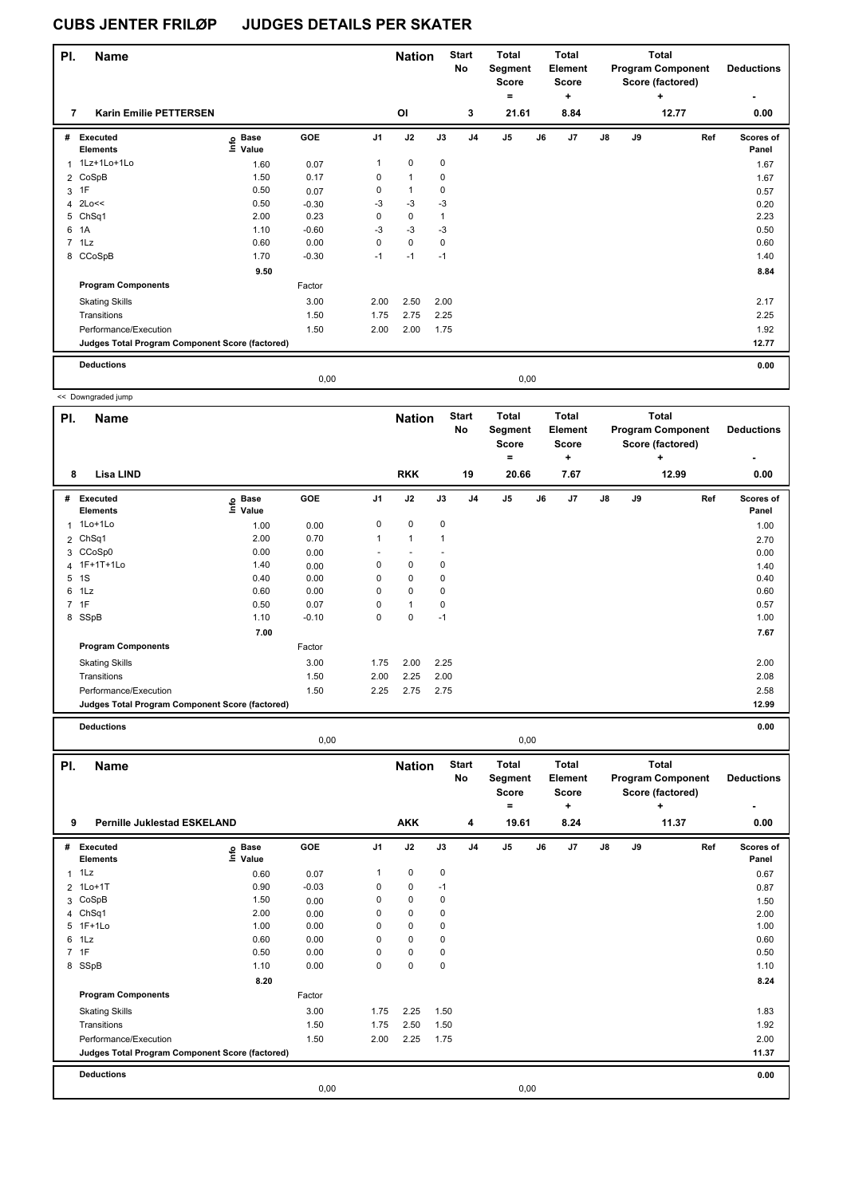| PI. | <b>Name</b>                                     |                   |         |                | <b>Nation</b>  |             | <b>Start</b><br>No | <b>Total</b><br>Segment<br><b>Score</b><br>$\equiv$ |      | <b>Total</b><br>Element<br>Score<br>$\ddot{}$ |               |    | Total<br><b>Program Component</b><br>Score (factored)<br>٠ | <b>Deductions</b><br>۰ |
|-----|-------------------------------------------------|-------------------|---------|----------------|----------------|-------------|--------------------|-----------------------------------------------------|------|-----------------------------------------------|---------------|----|------------------------------------------------------------|------------------------|
| 7   | <b>Karin Emilie PETTERSEN</b>                   |                   |         |                | OI             |             | 3                  | 21.61                                               |      | 8.84                                          |               |    | 12.77                                                      | 0.00                   |
| #   | Executed<br><b>Elements</b>                     | e Base<br>⊆ Value | GOE     | J <sub>1</sub> | J2             | J3          | J <sub>4</sub>     | J <sub>5</sub>                                      | J6   | J7                                            | $\mathsf{J}8$ | J9 | Ref                                                        | Scores of<br>Panel     |
|     | 1Lz+1Lo+1Lo                                     | 1.60              | 0.07    | 1              | 0              | 0           |                    |                                                     |      |                                               |               |    |                                                            | 1.67                   |
|     | 2 CoSpB                                         | 1.50              | 0.17    | 0              | 1              | 0           |                    |                                                     |      |                                               |               |    |                                                            | 1.67                   |
|     | $3$ 1F                                          | 0.50              | 0.07    | 0              | $\overline{1}$ | 0           |                    |                                                     |      |                                               |               |    |                                                            | 0.57                   |
|     | 4 2Lo<<                                         | 0.50              | $-0.30$ | -3             | $-3$           | $-3$        |                    |                                                     |      |                                               |               |    |                                                            | 0.20                   |
|     | 5 ChSq1                                         | 2.00              | 0.23    | 0              | 0              | 1           |                    |                                                     |      |                                               |               |    |                                                            | 2.23                   |
| 6   | 1A                                              | 1.10              | $-0.60$ | $-3$           | $-3$           | $-3$        |                    |                                                     |      |                                               |               |    |                                                            | 0.50                   |
|     | 7 1Lz                                           | 0.60              | 0.00    | $\mathbf 0$    | $\mathbf 0$    | $\mathbf 0$ |                    |                                                     |      |                                               |               |    |                                                            | 0.60                   |
|     | 8 CCoSpB                                        | 1.70              | $-0.30$ | $-1$           | $-1$           | $-1$        |                    |                                                     |      |                                               |               |    |                                                            | 1.40                   |
|     |                                                 | 9.50              |         |                |                |             |                    |                                                     |      |                                               |               |    |                                                            | 8.84                   |
|     | <b>Program Components</b>                       |                   | Factor  |                |                |             |                    |                                                     |      |                                               |               |    |                                                            |                        |
|     | <b>Skating Skills</b>                           |                   | 3.00    | 2.00           | 2.50           | 2.00        |                    |                                                     |      |                                               |               |    |                                                            | 2.17                   |
|     | Transitions                                     |                   | 1.50    | 1.75           | 2.75           | 2.25        |                    |                                                     |      |                                               |               |    |                                                            | 2.25                   |
|     | Performance/Execution                           |                   | 1.50    | 2.00           | 2.00           | 1.75        |                    |                                                     |      |                                               |               |    |                                                            | 1.92                   |
|     | Judges Total Program Component Score (factored) |                   |         |                |                |             |                    |                                                     |      |                                               |               |    |                                                            | 12.77                  |
|     | <b>Deductions</b>                               |                   |         |                |                |             |                    |                                                     |      |                                               |               |    |                                                            | 0.00                   |
|     |                                                 |                   | 0.00    |                |                |             |                    |                                                     | 0,00 |                                               |               |    |                                                            |                        |

<< Downgraded jump

J

| PI. | <b>Name</b>                                     |                   |            |                | <b>Nation</b> |      | <b>Start</b><br>No | Total<br>Segment<br><b>Score</b> |    | <b>Total</b><br>Element<br>Score |               |    | <b>Total</b><br><b>Program Component</b><br>Score (factored) | <b>Deductions</b>  |
|-----|-------------------------------------------------|-------------------|------------|----------------|---------------|------|--------------------|----------------------------------|----|----------------------------------|---------------|----|--------------------------------------------------------------|--------------------|
| 8   | Lisa LIND                                       |                   |            |                | <b>RKK</b>    |      | 19                 | $\equiv$<br>20.66                |    | ÷<br>7.67                        |               |    | ÷<br>12.99                                                   | 0.00               |
| #   | <b>Executed</b><br><b>Elements</b>              | e Base<br>E Value | <b>GOE</b> | J <sub>1</sub> | J2            | J3   | J <sub>4</sub>     | J <sub>5</sub>                   | J6 | J <sub>7</sub>                   | $\mathsf{J}8$ | J9 | Ref                                                          | Scores of<br>Panel |
| 1   | $1Lo+1Lo$                                       | 1.00              | 0.00       | 0              | 0             | 0    |                    |                                  |    |                                  |               |    |                                                              | 1.00               |
|     | 2 ChSq1                                         | 2.00              | 0.70       | 1              | $\mathbf{1}$  |      |                    |                                  |    |                                  |               |    |                                                              | 2.70               |
|     | 3 CCoSp0                                        | 0.00              | 0.00       |                |               |      |                    |                                  |    |                                  |               |    |                                                              | 0.00               |
|     | 4 1F+1T+1Lo                                     | 1.40              | 0.00       | 0              | 0             | 0    |                    |                                  |    |                                  |               |    |                                                              | 1.40               |
|     | 5 1S                                            | 0.40              | 0.00       | $\Omega$       | $\mathbf 0$   | 0    |                    |                                  |    |                                  |               |    |                                                              | 0.40               |
| 6   | 1Lz                                             | 0.60              | 0.00       | 0              | $\mathbf 0$   | 0    |                    |                                  |    |                                  |               |    |                                                              | 0.60               |
|     | 7 1F                                            | 0.50              | 0.07       | 0              | 1             | 0    |                    |                                  |    |                                  |               |    |                                                              | 0.57               |
|     | 8 SSpB                                          | 1.10              | $-0.10$    | 0              | 0             | $-1$ |                    |                                  |    |                                  |               |    |                                                              | 1.00               |
|     |                                                 | 7.00              |            |                |               |      |                    |                                  |    |                                  |               |    |                                                              | 7.67               |
|     | <b>Program Components</b>                       |                   | Factor     |                |               |      |                    |                                  |    |                                  |               |    |                                                              |                    |
|     | <b>Skating Skills</b>                           |                   | 3.00       | 1.75           | 2.00          | 2.25 |                    |                                  |    |                                  |               |    |                                                              | 2.00               |
|     | Transitions                                     |                   | 1.50       | 2.00           | 2.25          | 2.00 |                    |                                  |    |                                  |               |    |                                                              | 2.08               |
|     | Performance/Execution                           |                   | 1.50       | 2.25           | 2.75          | 2.75 |                    |                                  |    |                                  |               |    |                                                              | 2.58               |
|     | Judges Total Program Component Score (factored) |                   |            |                |               |      |                    |                                  |    |                                  |               |    |                                                              | 12.99              |
|     |                                                 |                   |            |                |               |      |                    |                                  |    |                                  |               |    |                                                              |                    |

**Deductions 0.00**

|          |                                                   |                            | 0,00    |                |                             |             |                         |                                                       | 0,00 |                                                      |               |    |                                                                            |                           |
|----------|---------------------------------------------------|----------------------------|---------|----------------|-----------------------------|-------------|-------------------------|-------------------------------------------------------|------|------------------------------------------------------|---------------|----|----------------------------------------------------------------------------|---------------------------|
| PI.<br>9 | <b>Name</b><br><b>Pernille Juklestad ESKELAND</b> |                            |         |                | <b>Nation</b><br><b>AKK</b> |             | <b>Start</b><br>No<br>4 | <b>Total</b><br>Segment<br><b>Score</b><br>۰<br>19.61 |      | <b>Total</b><br>Element<br><b>Score</b><br>÷<br>8.24 |               |    | <b>Total</b><br><b>Program Component</b><br>Score (factored)<br>÷<br>11.37 | <b>Deductions</b><br>0.00 |
| #        | Executed<br><b>Elements</b>                       | e Base<br>⊑ Value<br>Value | GOE     | J <sub>1</sub> | J2                          | J3          | J <sub>4</sub>          | J <sub>5</sub>                                        | J6   | J7                                                   | $\mathsf{J}8$ | J9 | Ref                                                                        | Scores of<br>Panel        |
|          | $1$ $1$ $1$                                       | 0.60                       | 0.07    | 1              | $\mathbf 0$                 | $\mathbf 0$ |                         |                                                       |      |                                                      |               |    |                                                                            | 0.67                      |
|          | 2 1Lo+1T                                          | 0.90                       | $-0.03$ | 0              | 0                           | $-1$        |                         |                                                       |      |                                                      |               |    |                                                                            | 0.87                      |
| 3        | CoSpB                                             | 1.50                       | 0.00    | 0              | 0                           | 0           |                         |                                                       |      |                                                      |               |    |                                                                            | 1.50                      |
|          | 4 ChSq1                                           | 2.00                       | 0.00    | 0              | $\mathbf 0$                 | 0           |                         |                                                       |      |                                                      |               |    |                                                                            | 2.00                      |
|          | 5 1F+1Lo                                          | 1.00                       | 0.00    | 0              | $\mathbf 0$                 | 0           |                         |                                                       |      |                                                      |               |    |                                                                            | 1.00                      |
|          | 6 1Lz                                             | 0.60                       | 0.00    | $\Omega$       | $\mathbf 0$                 | 0           |                         |                                                       |      |                                                      |               |    |                                                                            | 0.60                      |
|          | 7 1F                                              | 0.50                       | 0.00    | 0              | $\mathbf 0$                 | 0           |                         |                                                       |      |                                                      |               |    |                                                                            | 0.50                      |
|          | 8 SSpB                                            | 1.10                       | 0.00    | 0              | $\mathbf 0$                 | 0           |                         |                                                       |      |                                                      |               |    |                                                                            | 1.10                      |
|          |                                                   | 8.20                       |         |                |                             |             |                         |                                                       |      |                                                      |               |    |                                                                            | 8.24                      |
|          | <b>Program Components</b>                         |                            | Factor  |                |                             |             |                         |                                                       |      |                                                      |               |    |                                                                            |                           |
|          | <b>Skating Skills</b>                             |                            | 3.00    | 1.75           | 2.25                        | 1.50        |                         |                                                       |      |                                                      |               |    |                                                                            | 1.83                      |
|          | Transitions                                       |                            | 1.50    | 1.75           | 2.50                        | 1.50        |                         |                                                       |      |                                                      |               |    |                                                                            | 1.92                      |
|          | Performance/Execution                             |                            | 1.50    | 2.00           | 2.25                        | 1.75        |                         |                                                       |      |                                                      |               |    |                                                                            | 2.00                      |
|          | Judges Total Program Component Score (factored)   |                            |         |                |                             |             |                         |                                                       |      |                                                      |               |    |                                                                            | 11.37                     |
|          | <b>Deductions</b>                                 |                            |         |                |                             |             |                         |                                                       |      |                                                      |               |    |                                                                            | 0.00                      |
|          |                                                   |                            | 0,00    |                |                             |             |                         |                                                       | 0,00 |                                                      |               |    |                                                                            |                           |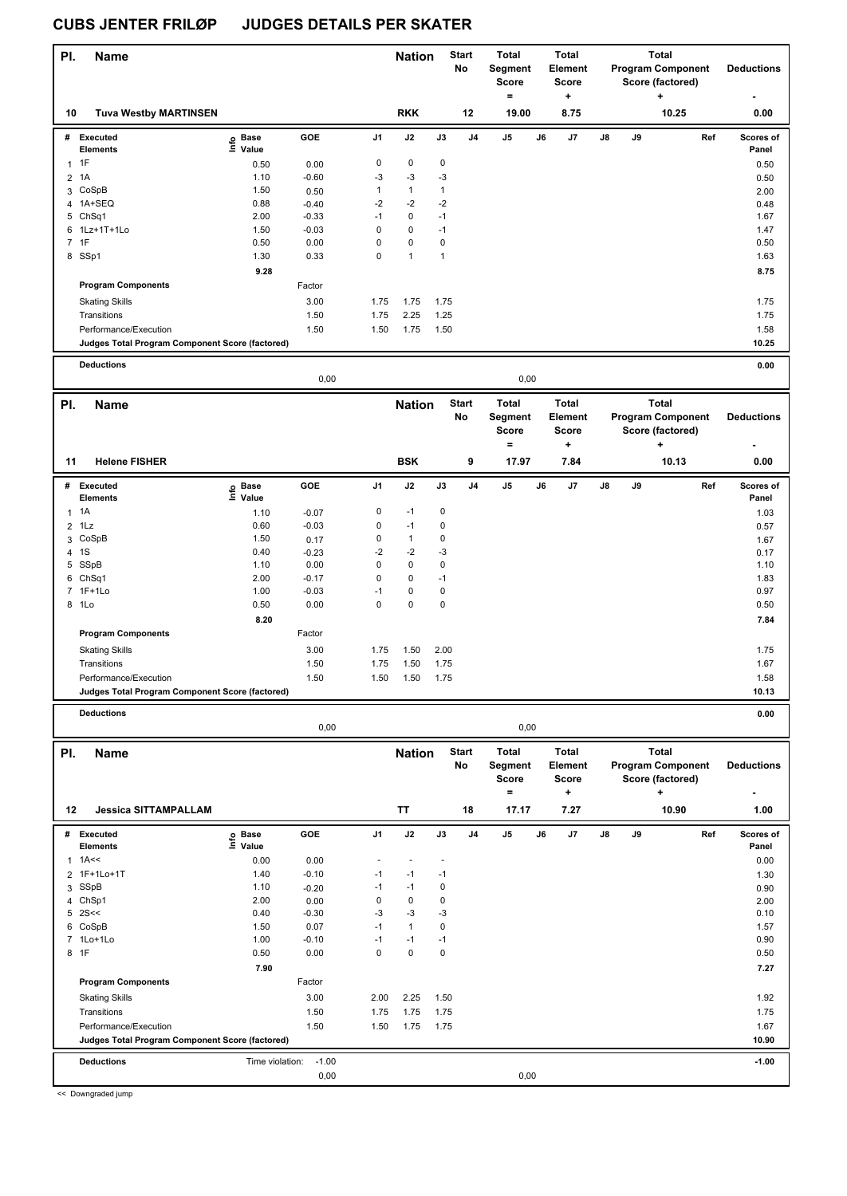| PI.          | <b>Name</b>                                     |                   |         |              | <b>Nation</b>  |              | <b>Start</b><br>No | Total<br>Segment<br><b>Score</b><br>$=$ |    | Total<br>Element<br><b>Score</b><br>$\ddot{}$ |    |    | <b>Total</b><br><b>Program Component</b><br>Score (factored)<br>۰. | <b>Deductions</b>  |
|--------------|-------------------------------------------------|-------------------|---------|--------------|----------------|--------------|--------------------|-----------------------------------------|----|-----------------------------------------------|----|----|--------------------------------------------------------------------|--------------------|
| 10           | <b>Tuva Westby MARTINSEN</b>                    |                   |         |              | <b>RKK</b>     |              | 12                 | 19.00                                   |    | 8.75                                          |    |    | 10.25                                                              | 0.00               |
|              | # Executed<br><b>Elements</b>                   | e Base<br>⊆ Value | GOE     | J1           | J2             | J3           | J <sub>4</sub>     | J5                                      | J6 | J7                                            | J8 | J9 | Ref                                                                | Scores of<br>Panel |
| $1$ 1F       |                                                 | 0.50              | 0.00    | $\pmb{0}$    | $\mathbf 0$    | $\pmb{0}$    |                    |                                         |    |                                               |    |    |                                                                    | 0.50               |
| 2 1A         |                                                 | 1.10              | $-0.60$ | -3           | $-3$           | $-3$         |                    |                                         |    |                                               |    |    |                                                                    | 0.50               |
|              | 3 CoSpB                                         | 1.50              | 0.50    | $\mathbf{1}$ | $\mathbf{1}$   | $\mathbf{1}$ |                    |                                         |    |                                               |    |    |                                                                    | 2.00               |
|              | 4 1A+SEQ                                        | 0.88              | $-0.40$ | $-2$         | $-2$           | $-2$         |                    |                                         |    |                                               |    |    |                                                                    | 0.48               |
|              | 5 ChSq1                                         | 2.00              | $-0.33$ | -1           | 0              | $-1$         |                    |                                         |    |                                               |    |    |                                                                    | 1.67               |
|              | 6 1Lz+1T+1Lo                                    | 1.50              | $-0.03$ | 0            | 0              | $-1$         |                    |                                         |    |                                               |    |    |                                                                    | 1.47               |
| 7 1F         |                                                 | 0.50              | 0.00    | $\mathbf 0$  | $\mathsf 0$    | $\pmb{0}$    |                    |                                         |    |                                               |    |    |                                                                    | 0.50               |
|              | 8 SSp1                                          | 1.30              | 0.33    | $\mathbf 0$  | $\mathbf{1}$   | $\mathbf{1}$ |                    |                                         |    |                                               |    |    |                                                                    | 1.63               |
|              |                                                 | 9.28              |         |              |                |              |                    |                                         |    |                                               |    |    |                                                                    | 8.75               |
|              | <b>Program Components</b>                       |                   | Factor  |              |                |              |                    |                                         |    |                                               |    |    |                                                                    |                    |
|              | <b>Skating Skills</b>                           |                   | 3.00    | 1.75         | 1.75           | 1.75         |                    |                                         |    |                                               |    |    |                                                                    | 1.75               |
|              | Transitions                                     |                   | 1.50    | 1.75         | 2.25           | 1.25         |                    |                                         |    |                                               |    |    |                                                                    | 1.75               |
|              | Performance/Execution                           |                   | 1.50    | 1.50         | 1.75           | 1.50         |                    |                                         |    |                                               |    |    |                                                                    | 1.58               |
|              | Judges Total Program Component Score (factored) |                   |         |              |                |              |                    |                                         |    |                                               |    |    |                                                                    | 10.25              |
|              | <b>Deductions</b>                               |                   |         |              |                |              |                    |                                         |    |                                               |    |    |                                                                    | 0.00               |
|              |                                                 |                   | 0,00    |              |                |              |                    | 0,00                                    |    |                                               |    |    |                                                                    |                    |
| PI.          | <b>Name</b>                                     |                   |         |              | <b>Nation</b>  |              | <b>Start</b>       | Total                                   |    | <b>Total</b>                                  |    |    | <b>Total</b>                                                       |                    |
|              |                                                 |                   |         |              |                |              | No                 | Segment<br>Score<br>$=$                 |    | <b>Element</b><br><b>Score</b><br>+           |    |    | <b>Program Component</b><br>Score (factored)<br>٠                  | <b>Deductions</b>  |
| 11           | <b>Helene FISHER</b>                            |                   |         |              | <b>BSK</b>     |              | 9                  | 17.97                                   |    | 7.84                                          |    |    | 10.13                                                              | 0.00               |
| #            | Executed                                        |                   | GOE     | J1           | J2             | J3           | J <sub>4</sub>     | J5                                      | J6 | J7                                            | J8 | J9 | Ref                                                                | Scores of          |
|              | <b>Elements</b>                                 | e Base<br>≞ Value |         |              |                |              |                    |                                         |    |                                               |    |    |                                                                    | Panel              |
| $\mathbf{1}$ | 1A                                              | 1.10              | $-0.07$ | $\pmb{0}$    | $-1$           | $\pmb{0}$    |                    |                                         |    |                                               |    |    |                                                                    | 1.03               |
|              | $2$ 1 Lz                                        | 0.60              | $-0.03$ | 0            | $-1$           | $\pmb{0}$    |                    |                                         |    |                                               |    |    |                                                                    | 0.57               |
|              | 3 CoSpB                                         | 1.50              | 0.17    | $\pmb{0}$    | $\mathbf{1}$   | $\pmb{0}$    |                    |                                         |    |                                               |    |    |                                                                    | 1.67               |
| 4 1S         |                                                 | 0.40              | $-0.23$ | $-2$         | $-2$           | $-3$         |                    |                                         |    |                                               |    |    |                                                                    | 0.17               |
|              | 5 SSpB                                          | 1.10              | 0.00    | $\mathbf 0$  | $\mathbf 0$    | $\pmb{0}$    |                    |                                         |    |                                               |    |    |                                                                    | 1.10               |
|              | 6 ChSq1                                         | 2.00              | $-0.17$ | 0            | $\pmb{0}$      | $-1$         |                    |                                         |    |                                               |    |    |                                                                    | 1.83               |
|              | 7 1F+1Lo                                        | 1.00              | $-0.03$ | $-1$         | 0              | $\pmb{0}$    |                    |                                         |    |                                               |    |    |                                                                    | 0.97               |
|              | 8 1Lo                                           | 0.50              | 0.00    | 0            | 0              | $\mathbf 0$  |                    |                                         |    |                                               |    |    |                                                                    | 0.50               |
|              |                                                 | 8.20              |         |              |                |              |                    |                                         |    |                                               |    |    |                                                                    | 7.84               |
|              | <b>Program Components</b>                       |                   | Factor  |              |                |              |                    |                                         |    |                                               |    |    |                                                                    |                    |
|              | <b>Skating Skills</b>                           |                   | 3.00    | 1.75         | 1.50           | 2.00         |                    |                                         |    |                                               |    |    |                                                                    | 1.75               |
|              | Transitions                                     |                   | 1.50    | 1.75         | 1.50           | 1.75         |                    |                                         |    |                                               |    |    |                                                                    | 1.67               |
|              | Performance/Execution                           |                   | 1.50    | 1.50         | 1.50           | 1.75         |                    |                                         |    |                                               |    |    |                                                                    | 1.58               |
|              | Judges Total Program Component Score (factored) |                   |         |              |                |              |                    |                                         |    |                                               |    |    |                                                                    | 10.13              |
|              | <b>Deductions</b>                               |                   | 0,00    |              |                |              |                    | 0,00                                    |    |                                               |    |    |                                                                    | 0.00               |
|              |                                                 |                   |         |              |                |              |                    |                                         |    |                                               |    |    |                                                                    |                    |
| PI.          | <b>Name</b>                                     |                   |         |              | <b>Nation</b>  |              | <b>Start</b><br>No | <b>Total</b><br>Segment<br>Score<br>$=$ |    | <b>Total</b><br>Element<br><b>Score</b><br>÷  |    |    | <b>Total</b><br><b>Program Component</b><br>Score (factored)<br>٠  | <b>Deductions</b>  |
| 12           | <b>Jessica SITTAMPALLAM</b>                     |                   |         |              | TT             |              | 18                 | 17.17                                   |    | 7.27                                          |    |    | 10.90                                                              | 1.00               |
|              | # Executed<br><b>Elements</b>                   | e Base<br>⊑ Value | GOE     | J1           | J2             | J3           | J4                 | J5                                      | J6 | J7                                            | J8 | J9 | Ref                                                                | Scores of<br>Panel |
| 1            | 1A<<                                            | 0.00              | 0.00    | ÷,           | $\blacksquare$ | ٠            |                    |                                         |    |                                               |    |    |                                                                    | 0.00               |
| 2            | 1F+1Lo+1T                                       | 1.40              | $-0.10$ | -1           | $-1$           | $-1$         |                    |                                         |    |                                               |    |    |                                                                    | 1.30               |
|              | 3 SSpB                                          | 1.10              | $-0.20$ | $-1$         | $-1$           | $\pmb{0}$    |                    |                                         |    |                                               |    |    |                                                                    | 0.90               |
|              | 4 ChSp1                                         | 2.00              | 0.00    | 0            | 0              | $\pmb{0}$    |                    |                                         |    |                                               |    |    |                                                                    | 2.00               |
|              | $5$ 2S<<                                        | 0.40              | $-0.30$ | -3           | $-3$           | $-3$         |                    |                                         |    |                                               |    |    |                                                                    | 0.10               |
|              | 6 CoSpB                                         | 1.50              | 0.07    | $-1$         | $\mathbf{1}$   | $\pmb{0}$    |                    |                                         |    |                                               |    |    |                                                                    | 1.57               |
|              | 7 1Lo+1Lo                                       | 1.00              | $-0.10$ | -1           | $-1$           | $-1$         |                    |                                         |    |                                               |    |    |                                                                    | 0.90               |
| 8 1F         |                                                 | 0.50              | 0.00    | $\mathbf 0$  | $\pmb{0}$      | $\pmb{0}$    |                    |                                         |    |                                               |    |    |                                                                    | 0.50               |
|              |                                                 | 7.90              |         |              |                |              |                    |                                         |    |                                               |    |    |                                                                    | 7.27               |
|              | <b>Program Components</b>                       |                   | Factor  |              |                |              |                    |                                         |    |                                               |    |    |                                                                    |                    |
|              | <b>Skating Skills</b>                           |                   | 3.00    | 2.00         | 2.25           | 1.50         |                    |                                         |    |                                               |    |    |                                                                    | 1.92               |
|              | Transitions                                     |                   | 1.50    | 1.75         | 1.75           | 1.75         |                    |                                         |    |                                               |    |    |                                                                    | 1.75               |
|              | Performance/Execution                           |                   | 1.50    | 1.50         | 1.75           | 1.75         |                    |                                         |    |                                               |    |    |                                                                    | 1.67               |
|              | Judges Total Program Component Score (factored) |                   |         |              |                |              |                    |                                         |    |                                               |    |    |                                                                    | 10.90              |
|              | <b>Deductions</b>                               | Time violation:   | $-1.00$ |              |                |              |                    |                                         |    |                                               |    |    |                                                                    | $-1.00$            |
|              |                                                 |                   | 0,00    |              |                |              |                    | 0,00                                    |    |                                               |    |    |                                                                    |                    |

<< Downgraded jump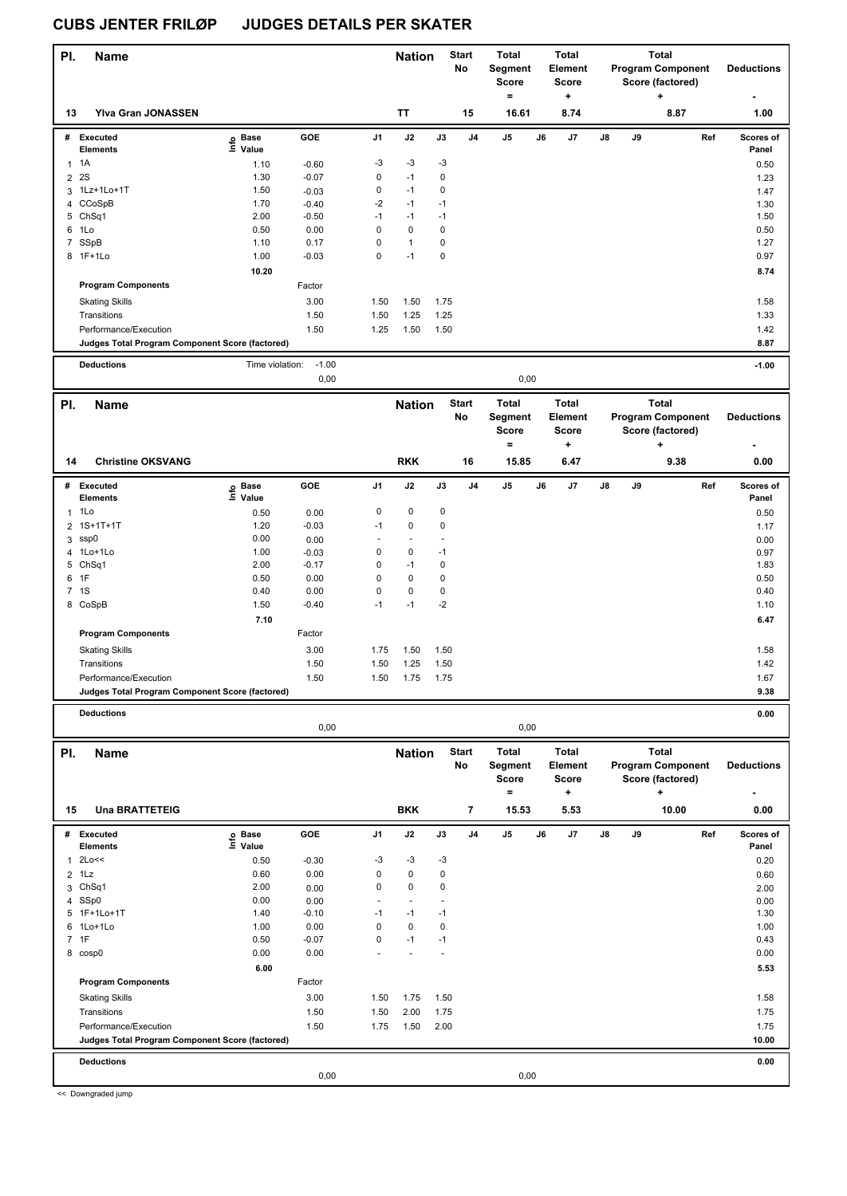| PI.            | <b>Name</b>                                     |                   |                 |                            | <b>Nation</b>          |                      | <b>Start</b><br>No       | Total<br>Segment<br>Score<br>$\qquad \qquad =$ |    | <b>Total</b><br>Element<br><b>Score</b><br>$\ddot{}$ |    |    | <b>Total</b><br><b>Program Component</b><br>Score (factored)<br>٠ | <b>Deductions</b>  |
|----------------|-------------------------------------------------|-------------------|-----------------|----------------------------|------------------------|----------------------|--------------------------|------------------------------------------------|----|------------------------------------------------------|----|----|-------------------------------------------------------------------|--------------------|
| 13             | Yiva Gran JONASSEN                              |                   |                 |                            | TT                     |                      | 15                       | 16.61                                          |    | 8.74                                                 |    |    | 8.87                                                              | 1.00               |
|                | # Executed<br><b>Elements</b>                   | e Base<br>⊑ Value | GOE             | J1                         | J2                     | J3                   | J4                       | J5                                             | J6 | J7                                                   | J8 | J9 | Ref                                                               | Scores of<br>Panel |
| $\mathbf{1}$   | 1A                                              | 1.10              | $-0.60$         | -3                         | $-3$                   | $-3$                 |                          |                                                |    |                                                      |    |    |                                                                   | 0.50               |
|                | 2 2 S                                           | 1.30              | $-0.07$         | $\mathbf 0$                | $-1$                   | 0                    |                          |                                                |    |                                                      |    |    |                                                                   | 1.23               |
| 3              | 1Lz+1Lo+1T                                      | 1.50              | $-0.03$         | $\pmb{0}$                  | $-1$                   | 0                    |                          |                                                |    |                                                      |    |    |                                                                   | 1.47               |
|                | 4 CCoSpB                                        | 1.70              | $-0.40$         | $-2$                       | $-1$                   | $-1$                 |                          |                                                |    |                                                      |    |    |                                                                   | 1.30               |
|                | 5 ChSq1                                         | 2.00              | $-0.50$         | $-1$                       | $-1$                   | $-1$                 |                          |                                                |    |                                                      |    |    |                                                                   | 1.50               |
|                | 6 1Lo                                           | 0.50              | 0.00            | $\mathbf 0$                | $\mathbf 0$            | $\pmb{0}$            |                          |                                                |    |                                                      |    |    |                                                                   | 0.50               |
|                | 7 SSpB                                          | 1.10              | 0.17            | $\mathbf 0$                | $\mathbf{1}$           | 0                    |                          |                                                |    |                                                      |    |    |                                                                   | 1.27               |
|                | 8 1F+1Lo                                        | 1.00              | $-0.03$         | $\mathbf 0$                | $-1$                   | 0                    |                          |                                                |    |                                                      |    |    |                                                                   | 0.97               |
|                |                                                 | 10.20             |                 |                            |                        |                      |                          |                                                |    |                                                      |    |    |                                                                   | 8.74               |
|                | <b>Program Components</b>                       |                   | Factor          |                            |                        |                      |                          |                                                |    |                                                      |    |    |                                                                   |                    |
|                | <b>Skating Skills</b>                           |                   | 3.00            | 1.50                       | 1.50                   | 1.75                 |                          |                                                |    |                                                      |    |    |                                                                   | 1.58               |
|                | Transitions                                     |                   | 1.50            | 1.50                       | 1.25                   | 1.25                 |                          |                                                |    |                                                      |    |    |                                                                   | 1.33               |
|                | Performance/Execution                           |                   | 1.50            | 1.25                       | 1.50                   | 1.50                 |                          |                                                |    |                                                      |    |    |                                                                   | 1.42               |
|                | Judges Total Program Component Score (factored) |                   |                 |                            |                        |                      |                          |                                                |    |                                                      |    |    |                                                                   | 8.87               |
|                | <b>Deductions</b>                               | Time violation:   | $-1.00$         |                            |                        |                      |                          |                                                |    |                                                      |    |    |                                                                   | $-1.00$            |
|                |                                                 |                   | 0,00            |                            |                        |                      |                          | 0,00                                           |    |                                                      |    |    |                                                                   |                    |
| PI.            | <b>Name</b>                                     |                   |                 |                            | <b>Nation</b>          |                      | <b>Start</b>             | <b>Total</b>                                   |    | <b>Total</b>                                         |    |    | <b>Total</b>                                                      |                    |
|                |                                                 |                   |                 |                            |                        |                      | No                       | Segment<br><b>Score</b>                        |    | Element<br><b>Score</b>                              |    |    | <b>Program Component</b><br>Score (factored)                      | <b>Deductions</b>  |
|                |                                                 |                   |                 |                            |                        |                      |                          | =                                              |    | ÷                                                    |    |    | ٠                                                                 |                    |
| 14             | <b>Christine OKSVANG</b>                        |                   |                 |                            | <b>RKK</b>             |                      | 16                       | 15.85                                          |    | 6.47                                                 |    |    | 9.38                                                              | 0.00               |
|                | # Executed                                      |                   | GOE             | J1                         | J2                     | J3                   | J4                       | J5                                             | J6 | J7                                                   | J8 | J9 | Ref                                                               | Scores of          |
|                | <b>Elements</b>                                 | e Base<br>⊑ Value |                 |                            |                        |                      |                          |                                                |    |                                                      |    |    |                                                                   | Panel              |
| 1              | 1Lo                                             | 0.50              | 0.00            | 0                          | 0                      | 0                    |                          |                                                |    |                                                      |    |    |                                                                   | 0.50               |
|                | 2 1S+1T+1T                                      | 1.20              | $-0.03$         | $-1$                       | $\pmb{0}$              | 0                    |                          |                                                |    |                                                      |    |    |                                                                   | 1.17               |
|                | 3 ssp0                                          | 0.00              | 0.00            | ÷,                         | ÷,                     |                      |                          |                                                |    |                                                      |    |    |                                                                   | 0.00               |
|                | 4 1Lo+1Lo                                       | 1.00              | $-0.03$         | 0                          | 0                      | $-1$                 |                          |                                                |    |                                                      |    |    |                                                                   | 0.97               |
|                | 5 ChSq1                                         | 2.00              | $-0.17$         | $\mathbf 0$                | $-1$                   | 0                    |                          |                                                |    |                                                      |    |    |                                                                   | 1.83               |
|                | 6 1F                                            | 0.50              | 0.00            | $\mathbf 0$                | $\pmb{0}$              | $\pmb{0}$            |                          |                                                |    |                                                      |    |    |                                                                   | 0.50               |
|                | 7 1S                                            | 0.40<br>1.50      | 0.00<br>$-0.40$ | $\mathbf 0$<br>$-1$        | $\pmb{0}$<br>$-1$      | 0<br>$-2$            |                          |                                                |    |                                                      |    |    |                                                                   | 0.40               |
|                | 8 CoSpB                                         | 7.10              |                 |                            |                        |                      |                          |                                                |    |                                                      |    |    |                                                                   | 1.10               |
|                |                                                 |                   |                 |                            |                        |                      |                          |                                                |    |                                                      |    |    |                                                                   | 6.47               |
|                | <b>Program Components</b>                       |                   | Factor          |                            |                        |                      |                          |                                                |    |                                                      |    |    |                                                                   |                    |
|                | <b>Skating Skills</b>                           |                   | 3.00            | 1.75                       | 1.50                   | 1.50                 |                          |                                                |    |                                                      |    |    |                                                                   | 1.58               |
|                | Transitions                                     |                   | 1.50            | 1.50                       | 1.25                   | 1.50                 |                          |                                                |    |                                                      |    |    |                                                                   | 1.42               |
|                | Performance/Execution                           |                   | 1.50            | 1.50                       | 1.75                   | 1.75                 |                          |                                                |    |                                                      |    |    |                                                                   | 1.67               |
|                | Judges Total Program Component Score (factored) |                   |                 |                            |                        |                      |                          |                                                |    |                                                      |    |    |                                                                   | 9.38               |
|                | <b>Deductions</b>                               |                   |                 |                            |                        |                      |                          |                                                |    |                                                      |    |    |                                                                   | 0.00               |
|                |                                                 |                   | 0,00            |                            |                        |                      |                          | 0,00                                           |    |                                                      |    |    |                                                                   |                    |
| PI.            | <b>Name</b>                                     |                   |                 |                            | <b>Nation</b>          |                      | <b>Start</b>             | <b>Total</b>                                   |    | <b>Total</b>                                         |    |    | <b>Total</b>                                                      |                    |
|                |                                                 |                   |                 |                            |                        |                      | No                       | Segment                                        |    | Element                                              |    |    | <b>Program Component</b>                                          | <b>Deductions</b>  |
|                |                                                 |                   |                 |                            |                        |                      |                          | Score<br>$=$                                   |    | <b>Score</b><br>+                                    |    |    | Score (factored)<br>٠                                             |                    |
|                |                                                 |                   |                 |                            | <b>BKK</b>             |                      | $\overline{\phantom{a}}$ |                                                |    |                                                      |    |    | 10.00                                                             |                    |
| 15             | <b>Una BRATTETEIG</b>                           |                   |                 |                            |                        |                      |                          | 15.53                                          |    | 5.53                                                 |    |    |                                                                   | 0.00               |
|                | # Executed                                      | e Base<br>⊑ Value | GOE             | J1                         | J2                     | J3                   | J4                       | J5                                             | J6 | J7                                                   | J8 | J9 | Ref                                                               | Scores of          |
|                | Elements                                        |                   |                 |                            |                        |                      |                          |                                                |    |                                                      |    |    |                                                                   | Panel              |
| $\mathbf{1}$   | 2Lo<<                                           | 0.50              | $-0.30$         | -3                         | -3                     | -3                   |                          |                                                |    |                                                      |    |    |                                                                   | 0.20               |
| $\overline{a}$ | 1Lz                                             | 0.60              | 0.00            | $\mathbf 0$<br>$\mathbf 0$ | $\pmb{0}$<br>$\pmb{0}$ | 0<br>0               |                          |                                                |    |                                                      |    |    |                                                                   | 0.60               |
|                | 3 ChSq1<br>4 SSp0                               | 2.00<br>0.00      | 0.00            |                            | ÷,                     |                      |                          |                                                |    |                                                      |    |    |                                                                   | 2.00               |
|                | 5 1F+1Lo+1T                                     | 1.40              | 0.00<br>$-0.10$ | $-1$                       | $-1$                   | $-1$                 |                          |                                                |    |                                                      |    |    |                                                                   | 0.00<br>1.30       |
|                | 6 1Lo+1Lo                                       | 1.00              | 0.00            | $\mathbf 0$                | $\pmb{0}$              | 0                    |                          |                                                |    |                                                      |    |    |                                                                   | 1.00               |
|                | 7 1F                                            | 0.50              | $-0.07$         | $\mathbf 0$                | $-1$                   | $-1$                 |                          |                                                |    |                                                      |    |    |                                                                   | 0.43               |
|                | 8 cosp0                                         | 0.00              | 0.00            |                            | $\ddot{\phantom{1}}$   | $\ddot{\phantom{1}}$ |                          |                                                |    |                                                      |    |    |                                                                   | 0.00               |
|                |                                                 | 6.00              |                 |                            |                        |                      |                          |                                                |    |                                                      |    |    |                                                                   | 5.53               |
|                | <b>Program Components</b>                       |                   | Factor          |                            |                        |                      |                          |                                                |    |                                                      |    |    |                                                                   |                    |
|                | <b>Skating Skills</b>                           |                   | 3.00            | 1.50                       | 1.75                   | 1.50                 |                          |                                                |    |                                                      |    |    |                                                                   | 1.58               |
|                | Transitions                                     |                   | 1.50            | 1.50                       | 2.00                   | 1.75                 |                          |                                                |    |                                                      |    |    |                                                                   | 1.75               |
|                | Performance/Execution                           |                   | 1.50            | 1.75                       | 1.50                   | 2.00                 |                          |                                                |    |                                                      |    |    |                                                                   | 1.75               |
|                | Judges Total Program Component Score (factored) |                   |                 |                            |                        |                      |                          |                                                |    |                                                      |    |    |                                                                   | 10.00              |
|                |                                                 |                   |                 |                            |                        |                      |                          |                                                |    |                                                      |    |    |                                                                   |                    |
|                | <b>Deductions</b>                               |                   | 0,00            |                            |                        |                      |                          | 0,00                                           |    |                                                      |    |    |                                                                   | 0.00               |
|                |                                                 |                   |                 |                            |                        |                      |                          |                                                |    |                                                      |    |    |                                                                   |                    |

<< Downgraded jump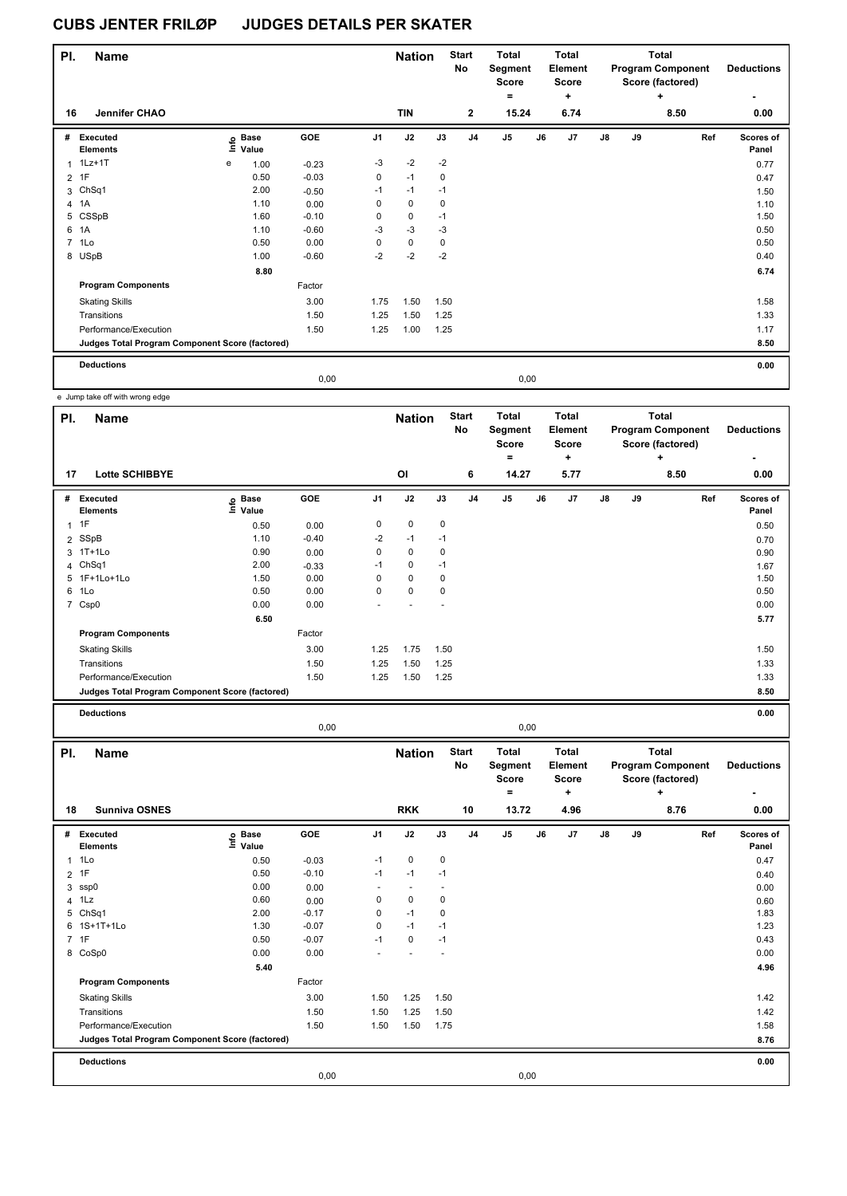| PI.            | <b>Name</b>                                     |   |                            |         |                | <b>Nation</b> |             | <b>Start</b><br>No | <b>Total</b><br>Segment<br><b>Score</b> |      | <b>Total</b><br><b>Element</b><br><b>Score</b> |               |    | <b>Total</b><br><b>Program Component</b><br>Score (factored) | <b>Deductions</b>  |
|----------------|-------------------------------------------------|---|----------------------------|---------|----------------|---------------|-------------|--------------------|-----------------------------------------|------|------------------------------------------------|---------------|----|--------------------------------------------------------------|--------------------|
| 16             | Jennifer CHAO                                   |   |                            |         |                | <b>TIN</b>    |             | $\mathbf{2}$       | ۰<br>15.24                              |      | ٠<br>6.74                                      |               |    | ٠<br>8.50                                                    | 0.00               |
| #              | Executed<br><b>Elements</b>                     |   | e Base<br>⊆ Value<br>Value | GOE     | J <sub>1</sub> | J2            | J3          | J <sub>4</sub>     | J <sub>5</sub>                          | J6   | J7                                             | $\mathsf{J}8$ | J9 | Ref                                                          | Scores of<br>Panel |
|                | 1Lz+1T                                          | е | 1.00                       | $-0.23$ | $-3$           | $-2$          | $-2$        |                    |                                         |      |                                                |               |    |                                                              | 0.77               |
| $\overline{2}$ | 1F                                              |   | 0.50                       | $-0.03$ | 0              | $-1$          | 0           |                    |                                         |      |                                                |               |    |                                                              | 0.47               |
|                | 3 ChSq1                                         |   | 2.00                       | $-0.50$ | $-1$           | $-1$          | $-1$        |                    |                                         |      |                                                |               |    |                                                              | 1.50               |
|                | 4 1A                                            |   | 1.10                       | 0.00    | 0              | 0             | $\mathbf 0$ |                    |                                         |      |                                                |               |    |                                                              | 1.10               |
|                | 5 CSSpB                                         |   | 1.60                       | $-0.10$ | 0              | 0             | $-1$        |                    |                                         |      |                                                |               |    |                                                              | 1.50               |
| 6              | 1A                                              |   | 1.10                       | $-0.60$ | $-3$           | $-3$          | $-3$        |                    |                                         |      |                                                |               |    |                                                              | 0.50               |
|                | 7 1Lo                                           |   | 0.50                       | 0.00    | 0              | 0             | $\mathbf 0$ |                    |                                         |      |                                                |               |    |                                                              | 0.50               |
|                | 8 USpB                                          |   | 1.00                       | $-0.60$ | $-2$           | $-2$          | $-2$        |                    |                                         |      |                                                |               |    |                                                              | 0.40               |
|                |                                                 |   | 8.80                       |         |                |               |             |                    |                                         |      |                                                |               |    |                                                              | 6.74               |
|                | <b>Program Components</b>                       |   |                            | Factor  |                |               |             |                    |                                         |      |                                                |               |    |                                                              |                    |
|                | <b>Skating Skills</b>                           |   |                            | 3.00    | 1.75           | 1.50          | 1.50        |                    |                                         |      |                                                |               |    |                                                              | 1.58               |
|                | Transitions                                     |   |                            | 1.50    | 1.25           | 1.50          | 1.25        |                    |                                         |      |                                                |               |    |                                                              | 1.33               |
|                | Performance/Execution                           |   |                            | 1.50    | 1.25           | 1.00          | 1.25        |                    |                                         |      |                                                |               |    |                                                              | 1.17               |
|                | Judges Total Program Component Score (factored) |   |                            |         |                |               |             |                    |                                         |      |                                                |               |    |                                                              | 8.50               |
|                | <b>Deductions</b>                               |   |                            |         |                |               |             |                    |                                         |      |                                                |               |    |                                                              | 0.00               |
|                |                                                 |   |                            | 0.00    |                |               |             |                    |                                         | 0,00 |                                                |               |    |                                                              |                    |

e Jump take off with wrong edge

| PI.            | <b>Name</b>                                     |                   |            |                | <b>Nation</b> |      | <b>Start</b><br>No | <b>Total</b><br>Segment<br><b>Score</b> |    | <b>Total</b><br>Element<br>Score |               |    | <b>Total</b><br><b>Program Component</b><br>Score (factored) | <b>Deductions</b>  |
|----------------|-------------------------------------------------|-------------------|------------|----------------|---------------|------|--------------------|-----------------------------------------|----|----------------------------------|---------------|----|--------------------------------------------------------------|--------------------|
|                |                                                 |                   |            |                |               |      |                    | ۰                                       |    | ÷                                |               |    | ÷                                                            |                    |
| 17             | <b>Lotte SCHIBBYE</b>                           |                   |            |                | <b>OI</b>     |      | 6                  | 14.27                                   |    | 5.77                             |               |    | 8.50                                                         | 0.00               |
| #              | <b>Executed</b><br><b>Elements</b>              | e Base<br>E Value | <b>GOE</b> | J <sub>1</sub> | J2            | J3   | J <sub>4</sub>     | J <sub>5</sub>                          | J6 | J7                               | $\mathsf{J}8$ | J9 | Ref                                                          | Scores of<br>Panel |
| $\mathbf{1}$   | 1F                                              | 0.50              | 0.00       | 0              | 0             | 0    |                    |                                         |    |                                  |               |    |                                                              | 0.50               |
| $\overline{2}$ | SSpB                                            | 1.10              | $-0.40$    | $-2$           | $-1$          | $-1$ |                    |                                         |    |                                  |               |    |                                                              | 0.70               |
|                | 3 1T+1Lo                                        | 0.90              | 0.00       | 0              | 0             | 0    |                    |                                         |    |                                  |               |    |                                                              | 0.90               |
|                | 4 ChSq1                                         | 2.00              | $-0.33$    | $-1$           | 0             | $-1$ |                    |                                         |    |                                  |               |    |                                                              | 1.67               |
|                | 5 1F+1Lo+1Lo                                    | 1.50              | 0.00       | 0              | $\mathbf 0$   | 0    |                    |                                         |    |                                  |               |    |                                                              | 1.50               |
| 6              | 1Lo                                             | 0.50              | 0.00       | 0              | $\mathbf 0$   | 0    |                    |                                         |    |                                  |               |    |                                                              | 0.50               |
|                | 7 Csp0                                          | 0.00              | 0.00       |                |               |      |                    |                                         |    |                                  |               |    |                                                              | 0.00               |
|                |                                                 | 6.50              |            |                |               |      |                    |                                         |    |                                  |               |    |                                                              | 5.77               |
|                | <b>Program Components</b>                       |                   | Factor     |                |               |      |                    |                                         |    |                                  |               |    |                                                              |                    |
|                | <b>Skating Skills</b>                           |                   | 3.00       | 1.25           | 1.75          | 1.50 |                    |                                         |    |                                  |               |    |                                                              | 1.50               |
|                | Transitions                                     |                   | 1.50       | 1.25           | 1.50          | 1.25 |                    |                                         |    |                                  |               |    |                                                              | 1.33               |
|                | Performance/Execution                           |                   | 1.50       | 1.25           | 1.50          | 1.25 |                    |                                         |    |                                  |               |    |                                                              | 1.33               |
|                | Judges Total Program Component Score (factored) |                   |            |                |               |      |                    |                                         |    |                                  |               |    |                                                              | 8.50               |
|                | <b>Deductions</b>                               |                   |            |                |               |      |                    |                                         |    |                                  |               |    |                                                              | 0.00               |

0,00 0,00

| PI.            | <b>Name</b>                                     |                                  |         |                | <b>Nation</b> |           | <b>Start</b><br><b>No</b> | <b>Total</b><br>Segment<br><b>Score</b> |      | <b>Total</b><br><b>Element</b><br><b>Score</b> |    |    | Total<br><b>Program Component</b><br>Score (factored) | <b>Deductions</b>  |
|----------------|-------------------------------------------------|----------------------------------|---------|----------------|---------------|-----------|---------------------------|-----------------------------------------|------|------------------------------------------------|----|----|-------------------------------------------------------|--------------------|
| 18             | <b>Sunniva OSNES</b>                            |                                  |         |                | <b>RKK</b>    |           | 10                        | $=$<br>13.72                            |      | ÷<br>4.96                                      |    |    | $\ddot{}$<br>8.76                                     | 0.00               |
|                |                                                 |                                  |         |                |               |           |                           |                                         |      |                                                |    |    |                                                       |                    |
| #              | Executed<br><b>Elements</b>                     | <b>Base</b><br>e Base<br>⊑ Value | GOE     | J <sub>1</sub> | J2            | J3        | J <sub>4</sub>            | J <sub>5</sub>                          | J6   | J7                                             | J8 | J9 | Ref                                                   | Scores of<br>Panel |
| 1              | 1Lo                                             | 0.50                             | $-0.03$ | $-1$           | 0             | 0         |                           |                                         |      |                                                |    |    |                                                       | 0.47               |
|                | 2 1F                                            | 0.50                             | $-0.10$ | $-1$           | $-1$          | $-1$      |                           |                                         |      |                                                |    |    |                                                       | 0.40               |
| 3              | ssp0                                            | 0.00                             | 0.00    |                |               |           |                           |                                         |      |                                                |    |    |                                                       | 0.00               |
| $\overline{4}$ | 1Lz                                             | 0.60                             | 0.00    | 0              | $\mathbf 0$   | 0         |                           |                                         |      |                                                |    |    |                                                       | 0.60               |
| 5              | ChSq1                                           | 2.00                             | $-0.17$ | 0              | $-1$          | $\pmb{0}$ |                           |                                         |      |                                                |    |    |                                                       | 1.83               |
| 6              | 1S+1T+1Lo                                       | 1.30                             | $-0.07$ | 0              | $-1$          | $-1$      |                           |                                         |      |                                                |    |    |                                                       | 1.23               |
|                | 7 1F                                            | 0.50                             | $-0.07$ | $-1$           | 0             | $-1$      |                           |                                         |      |                                                |    |    |                                                       | 0.43               |
| 8              | CoSp0                                           | 0.00                             | 0.00    |                |               | ٠         |                           |                                         |      |                                                |    |    |                                                       | 0.00               |
|                |                                                 | 5.40                             |         |                |               |           |                           |                                         |      |                                                |    |    |                                                       | 4.96               |
|                | <b>Program Components</b>                       |                                  | Factor  |                |               |           |                           |                                         |      |                                                |    |    |                                                       |                    |
|                | <b>Skating Skills</b>                           |                                  | 3.00    | 1.50           | 1.25          | 1.50      |                           |                                         |      |                                                |    |    |                                                       | 1.42               |
|                | Transitions                                     |                                  | 1.50    | 1.50           | 1.25          | 1.50      |                           |                                         |      |                                                |    |    |                                                       | 1.42               |
|                | Performance/Execution                           |                                  | 1.50    | 1.50           | 1.50          | 1.75      |                           |                                         |      |                                                |    |    |                                                       | 1.58               |
|                | Judges Total Program Component Score (factored) |                                  |         |                |               |           |                           |                                         |      |                                                |    |    |                                                       | 8.76               |
|                | <b>Deductions</b>                               |                                  |         |                |               |           |                           |                                         |      |                                                |    |    |                                                       | 0.00               |
|                |                                                 |                                  | 0,00    |                |               |           |                           |                                         | 0,00 |                                                |    |    |                                                       |                    |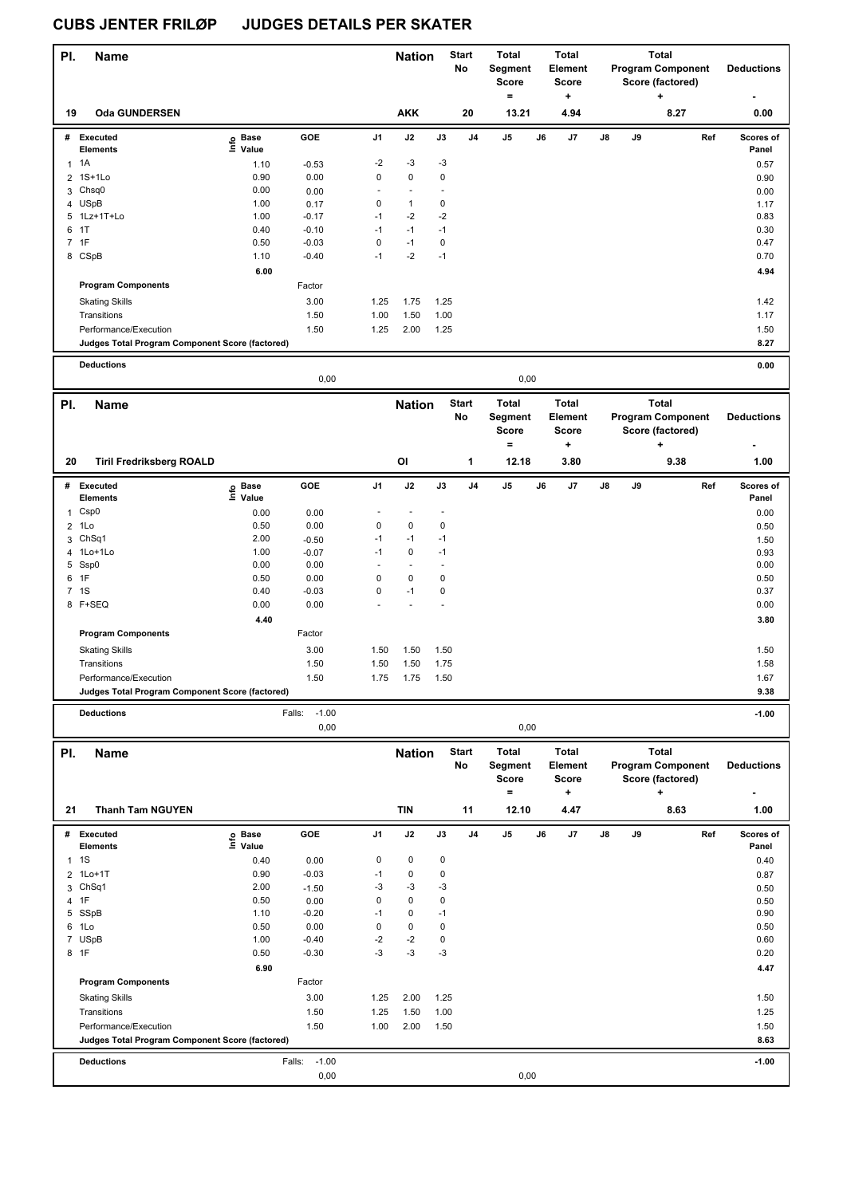| PI.            | Name                                            |                   |                           |             | <b>Nation</b>  |                      | <b>Start</b><br>No | Total<br>Segment<br>Score<br>$=$ |    | Total<br>Element<br>Score<br>+ | <b>Total</b><br><b>Program Component</b><br>Score (factored)<br>+ |    |                                          | <b>Deductions</b>  |
|----------------|-------------------------------------------------|-------------------|---------------------------|-------------|----------------|----------------------|--------------------|----------------------------------|----|--------------------------------|-------------------------------------------------------------------|----|------------------------------------------|--------------------|
| 19             | <b>Oda GUNDERSEN</b>                            |                   |                           |             | <b>AKK</b>     |                      | 20                 | 13.21                            |    | 4.94                           |                                                                   |    | 8.27                                     | 0.00               |
|                | # Executed<br><b>Elements</b>                   | e Base<br>⊑ Value | GOE                       | J1          | J2             | $\mathsf{J3}$        | J4                 | J5                               | J6 | J7                             | J8                                                                | J9 | Ref                                      | Scores of<br>Panel |
| $\mathbf{1}$   | 1A                                              | 1.10              | $-0.53$                   | $-2$        | $-3$           | $-3$                 |                    |                                  |    |                                |                                                                   |    |                                          | 0.57               |
| 2              | 1S+1Lo                                          | 0.90              | 0.00                      | 0           | $\pmb{0}$      | 0                    |                    |                                  |    |                                |                                                                   |    |                                          | 0.90               |
| 3              | Chsq0                                           | 0.00              | 0.00                      | ÷,          | $\overline{a}$ |                      |                    |                                  |    |                                |                                                                   |    |                                          | 0.00               |
|                | 4 USpB                                          | 1.00              | 0.17                      | 0           | $\mathbf{1}$   | 0                    |                    |                                  |    |                                |                                                                   |    |                                          | 1.17               |
|                | 5 1Lz+1T+Lo                                     | 1.00              | $-0.17$                   | $-1$        | $-2$           | $-2$                 |                    |                                  |    |                                |                                                                   |    |                                          | 0.83               |
| 6              | 1T                                              | 0.40              | $-0.10$                   | $-1$        | $-1$           | $-1$                 |                    |                                  |    |                                |                                                                   |    |                                          | 0.30               |
| 7              | 1F                                              | 0.50              | $-0.03$                   | $\mathbf 0$ | $-1$           | 0                    |                    |                                  |    |                                |                                                                   |    |                                          | 0.47               |
|                | 8 CSpB                                          | 1.10              | $-0.40$                   | $-1$        | $-2$           | $-1$                 |                    |                                  |    |                                |                                                                   |    |                                          | 0.70               |
|                |                                                 | 6.00              |                           |             |                |                      |                    |                                  |    |                                |                                                                   |    |                                          | 4.94               |
|                | <b>Program Components</b>                       |                   | Factor                    |             |                |                      |                    |                                  |    |                                |                                                                   |    |                                          |                    |
|                | <b>Skating Skills</b>                           |                   | 3.00                      | 1.25        | 1.75           | 1.25                 |                    |                                  |    |                                |                                                                   |    |                                          | 1.42               |
|                | Transitions                                     |                   | 1.50                      | 1.00        | 1.50           | 1.00                 |                    |                                  |    |                                |                                                                   |    |                                          | 1.17               |
|                | Performance/Execution                           |                   | 1.50                      | 1.25        | 2.00           | 1.25                 |                    |                                  |    |                                |                                                                   |    |                                          | 1.50               |
|                | Judges Total Program Component Score (factored) |                   |                           |             |                |                      |                    |                                  |    |                                |                                                                   |    |                                          | 8.27               |
|                | <b>Deductions</b>                               |                   |                           |             |                |                      |                    |                                  |    |                                |                                                                   |    |                                          | 0.00               |
|                | 0,00<br>0,00                                    |                   |                           |             |                |                      |                    |                                  |    |                                |                                                                   |    |                                          |                    |
| PI.            | Name                                            |                   |                           |             | <b>Nation</b>  |                      | <b>Start</b>       | <b>Total</b>                     |    | <b>Total</b>                   |                                                                   |    | <b>Total</b>                             |                    |
|                |                                                 |                   |                           |             | No             |                      |                    | Segment                          |    | Element                        | <b>Program Component</b>                                          |    |                                          | <b>Deductions</b>  |
|                |                                                 |                   |                           |             |                |                      |                    | <b>Score</b>                     |    | <b>Score</b>                   |                                                                   |    | Score (factored)                         |                    |
| 20             | <b>Tiril Fredriksberg ROALD</b>                 |                   |                           |             | OI             |                      | 1                  | $\equiv$<br>12.18                |    | +<br>3.80                      |                                                                   |    | ٠<br>9.38                                | 1.00               |
|                |                                                 |                   |                           |             |                |                      |                    |                                  |    |                                |                                                                   |    |                                          |                    |
|                | # Executed<br><b>Elements</b>                   | e Base<br>⊑ Value | GOE                       | J1          | J2             | $\mathsf{J3}$        | J <sub>4</sub>     | J5                               | J6 | J7                             | J8                                                                | J9 | Ref                                      | Scores of<br>Panel |
| 1              | Csp <sub>0</sub>                                | 0.00              | 0.00                      |             |                |                      |                    |                                  |    |                                |                                                                   |    |                                          | 0.00               |
| $\overline{2}$ | 1Lo                                             | 0.50              | 0.00                      | 0           | $\pmb{0}$      | 0                    |                    |                                  |    |                                |                                                                   |    |                                          | 0.50               |
|                | 3 ChSq1                                         | 2.00              | $-0.50$                   | $-1$        | $-1$           | $-1$                 |                    |                                  |    |                                |                                                                   |    |                                          | 1.50               |
| 4              | 1Lo+1Lo                                         | 1.00              | $-0.07$                   | $-1$        | $\pmb{0}$      | $-1$                 |                    |                                  |    |                                |                                                                   |    |                                          | 0.93               |
|                | 5 Ssp0                                          | 0.00              | 0.00                      | $\sim$      | $\sim$         | $\ddot{\phantom{1}}$ |                    |                                  |    |                                |                                                                   |    |                                          | 0.00               |
| 6              | 1F                                              | 0.50              | 0.00                      | 0           | $\pmb{0}$      | $\pmb{0}$            |                    |                                  |    |                                |                                                                   |    |                                          | 0.50               |
|                | 7 1S                                            | 0.40              | $-0.03$                   | 0           | $-1$           | 0                    |                    |                                  |    |                                |                                                                   |    |                                          | 0.37               |
|                | 8 F+SEQ                                         | 0.00              | 0.00                      |             |                |                      |                    |                                  |    |                                |                                                                   |    |                                          | 0.00               |
|                |                                                 | 4.40              |                           |             |                |                      |                    |                                  |    |                                |                                                                   |    |                                          | 3.80               |
|                | <b>Program Components</b>                       |                   | Factor                    |             |                |                      |                    |                                  |    |                                |                                                                   |    |                                          |                    |
|                | <b>Skating Skills</b>                           |                   | 3.00                      | 1.50        | 1.50           | 1.50                 |                    |                                  |    |                                |                                                                   |    |                                          | 1.50               |
|                | Transitions                                     |                   | 1.50                      | 1.50        | 1.50           | 1.75                 |                    |                                  |    |                                |                                                                   |    |                                          | 1.58               |
|                | Performance/Execution                           |                   | 1.50                      | 1.75        | 1.75           | 1.50                 |                    |                                  |    |                                |                                                                   |    |                                          | 1.67               |
|                | Judges Total Program Component Score (factored) |                   |                           |             |                |                      |                    |                                  |    |                                |                                                                   |    |                                          | 9.38               |
|                |                                                 |                   |                           |             |                |                      |                    |                                  |    |                                |                                                                   |    |                                          |                    |
|                | <b>Deductions</b>                               |                   | $-1.00$<br>Falls:<br>0,00 |             |                |                      |                    | 0,00                             |    |                                |                                                                   |    |                                          | $-1.00$            |
|                |                                                 |                   |                           |             |                |                      |                    |                                  |    | <b>Total</b>                   |                                                                   |    |                                          |                    |
| PI.            | Name                                            |                   |                           |             | <b>Nation</b>  |                      | <b>Start</b><br>No | Total<br>Segment                 |    | Element                        |                                                                   |    | <b>Total</b><br><b>Program Component</b> | <b>Deductions</b>  |
|                |                                                 |                   |                           |             |                |                      |                    | <b>Score</b>                     |    | <b>Score</b>                   |                                                                   |    | Score (factored)                         |                    |
|                |                                                 |                   |                           |             |                |                      |                    | $\equiv$                         |    | +                              |                                                                   |    |                                          |                    |
| 21             | <b>Thanh Tam NGUYEN</b>                         |                   |                           |             | <b>TIN</b>     |                      | 11                 | 12.10                            |    | 4.47                           |                                                                   |    | 8.63                                     | 1.00               |
|                | # Executed                                      |                   | GOE                       | J1          | J2             | $\mathsf{J3}$        | J4                 | J5                               | J6 | J7                             | J8                                                                | J9 | Ref                                      | Scores of          |
|                | <b>Elements</b>                                 | e Base<br>⊑ Value |                           |             |                |                      |                    |                                  |    |                                |                                                                   |    |                                          | Panel              |
| $\mathbf{1}$   | 1S                                              | 0.40              | 0.00                      | 0           | 0              | $\pmb{0}$            |                    |                                  |    |                                |                                                                   |    |                                          | 0.40               |
| 2              | $1Lo+1T$                                        | 0.90              | $-0.03$                   | $-1$        | 0              | 0                    |                    |                                  |    |                                |                                                                   |    |                                          | 0.87               |
|                | 3 ChSq1                                         | 2.00              | $-1.50$                   | -3          | $-3$           | -3                   |                    |                                  |    |                                |                                                                   |    |                                          | 0.50               |
| 4              | 1F                                              | 0.50              | 0.00                      | 0           | 0              | 0                    |                    |                                  |    |                                |                                                                   |    |                                          | 0.50               |
|                | 5 SSpB                                          | 1.10              | $-0.20$                   | $-1$        | 0              | $-1$                 |                    |                                  |    |                                |                                                                   |    |                                          | 0.90               |
| 6              | 1Lo                                             | 0.50              | 0.00                      | $\mathbf 0$ | 0              | 0                    |                    |                                  |    |                                |                                                                   |    |                                          | 0.50               |
|                | 7 USpB                                          | 1.00              | $-0.40$                   | $-2$        | $-2$           | $\mathbf 0$          |                    |                                  |    |                                |                                                                   |    |                                          | 0.60               |
|                | 8 1F                                            | 0.50              | $-0.30$                   | -3          | -3             | -3                   |                    |                                  |    |                                |                                                                   |    |                                          | 0.20               |
|                |                                                 | 6.90              |                           |             |                |                      |                    |                                  |    |                                |                                                                   |    |                                          | 4.47               |
|                | <b>Program Components</b>                       |                   | Factor                    |             |                |                      |                    |                                  |    |                                |                                                                   |    |                                          |                    |
|                | <b>Skating Skills</b>                           |                   | 3.00                      | 1.25        | 2.00           | 1.25                 |                    |                                  |    |                                |                                                                   |    |                                          | 1.50               |
|                | Transitions                                     |                   | 1.50                      | 1.25        | 1.50           | 1.00                 |                    |                                  |    |                                |                                                                   |    |                                          | 1.25               |
|                | Performance/Execution                           |                   | 1.50                      | 1.00        | 2.00           | 1.50                 |                    |                                  |    |                                |                                                                   |    |                                          | 1.50               |
|                | Judges Total Program Component Score (factored) |                   |                           |             |                |                      |                    |                                  |    |                                |                                                                   |    |                                          | 8.63               |
|                | <b>Deductions</b>                               |                   | $-1.00$<br>Falls:         |             |                |                      |                    |                                  |    |                                |                                                                   |    |                                          | $-1.00$            |
|                |                                                 |                   | 0,00                      |             |                |                      |                    | 0,00                             |    |                                |                                                                   |    |                                          |                    |
|                |                                                 |                   |                           |             |                |                      |                    |                                  |    |                                |                                                                   |    |                                          |                    |